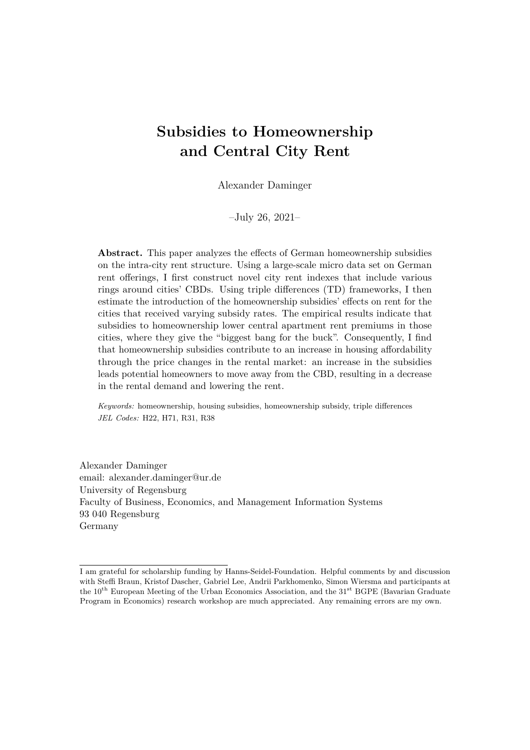# **Subsidies to Homeownership and Central City Rent**

Alexander Daminger

–July 26, 2021–

**Abstract.** This paper analyzes the effects of German homeownership subsidies on the intra-city rent structure. Using a large-scale micro data set on German rent offerings, I first construct novel city rent indexes that include various rings around cities' CBDs. Using triple differences (TD) frameworks, I then estimate the introduction of the homeownership subsidies' effects on rent for the cities that received varying subsidy rates. The empirical results indicate that subsidies to homeownership lower central apartment rent premiums in those cities, where they give the "biggest bang for the buck". Consequently, I find that homeownership subsidies contribute to an increase in housing affordability through the price changes in the rental market: an increase in the subsidies leads potential homeowners to move away from the CBD, resulting in a decrease in the rental demand and lowering the rent.

*Keywords:* homeownership, housing subsidies, homeownership subsidy, triple differences *JEL Codes:* H22, H71, R31, R38

Alexander Daminger email: alexander.daminger@ur.de University of Regensburg Faculty of Business, Economics, and Management Information Systems 93 040 Regensburg Germany

I am grateful for scholarship funding by Hanns-Seidel-Foundation. Helpful comments by and discussion with Steffi Braun, Kristof Dascher, Gabriel Lee, Andrii Parkhomenko, Simon Wiersma and participants at the 10<sup>th</sup> European Meeting of the Urban Economics Association, and the 31<sup>st</sup> BGPE (Bavarian Graduate Program in Economics) research workshop are much appreciated. Any remaining errors are my own.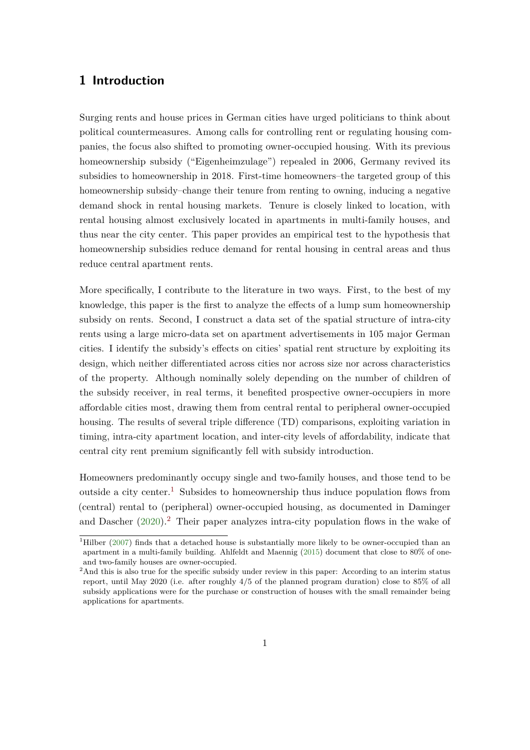### **1 Introduction**

Surging rents and house prices in German cities have urged politicians to think about political countermeasures. Among calls for controlling rent or regulating housing companies, the focus also shifted to promoting owner-occupied housing. With its previous homeownership subsidy ("Eigenheimzulage") repealed in 2006, Germany revived its subsidies to homeownership in 2018. First-time homeowners–the targeted group of this homeownership subsidy–change their tenure from renting to owning, inducing a negative demand shock in rental housing markets. Tenure is closely linked to location, with rental housing almost exclusively located in apartments in multi-family houses, and thus near the city center. This paper provides an empirical test to the hypothesis that homeownership subsidies reduce demand for rental housing in central areas and thus reduce central apartment rents.

More specifically, I contribute to the literature in two ways. First, to the best of my knowledge, this paper is the first to analyze the effects of a lump sum homeownership subsidy on rents. Second, I construct a data set of the spatial structure of intra-city rents using a large micro-data set on apartment advertisements in 105 major German cities. I identify the subsidy's effects on cities' spatial rent structure by exploiting its design, which neither differentiated across cities nor across size nor across characteristics of the property. Although nominally solely depending on the number of children of the subsidy receiver, in real terms, it benefited prospective owner-occupiers in more affordable cities most, drawing them from central rental to peripheral owner-occupied housing. The results of several triple difference (TD) comparisons, exploiting variation in timing, intra-city apartment location, and inter-city levels of affordability, indicate that central city rent premium significantly fell with subsidy introduction.

Homeowners predominantly occupy single and two-family houses, and those tend to be outside a city center.<sup>[1](#page-1-0)</sup> Subsides to homeownership thus induce population flows from (central) rental to (peripheral) owner-occupied housing, as documented in Daminger and Dascher  $(2020)^2$  $(2020)^2$  $(2020)^2$ . Their paper analyzes intra-city population flows in the wake of

<span id="page-1-0"></span><sup>&</sup>lt;sup>1</sup>Hilber [\(2007\)](#page-45-0) finds that a detached house is substantially more likely to be owner-occupied than an apartment in a multi-family building. Ahlfeldt and Maennig [\(2015\)](#page-44-1) document that close to 80% of oneand two-family houses are owner-occupied.

<span id="page-1-1"></span><sup>&</sup>lt;sup>2</sup>And this is also true for the specific subsidy under review in this paper: According to an interim status report, until May 2020 (i.e. after roughly 4/5 of the planned program duration) close to 85% of all subsidy applications were for the purchase or construction of houses with the small remainder being applications for apartments.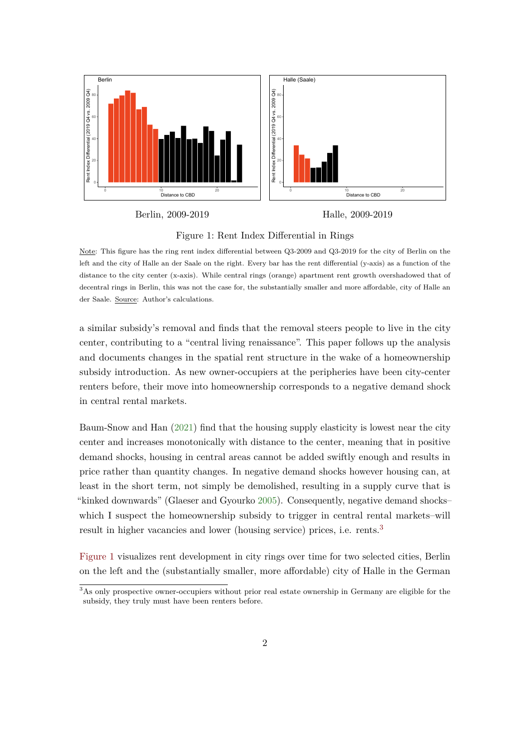<span id="page-2-1"></span>

Berlin, 2009-2019

Halle, 2009-2019

Figure 1: Rent Index Differential in Rings

Note: This figure has the ring rent index differential between Q3-2009 and Q3-2019 for the city of Berlin on the left and the city of Halle an der Saale on the right. Every bar has the rent differential (y-axis) as a function of the distance to the city center (x-axis). While central rings (orange) apartment rent growth overshadowed that of decentral rings in Berlin, this was not the case for, the substantially smaller and more affordable, city of Halle an der Saale. Source: Author's calculations.

a similar subsidy's removal and finds that the removal steers people to live in the city center, contributing to a "central living renaissance". This paper follows up the analysis and documents changes in the spatial rent structure in the wake of a homeownership subsidy introduction. As new owner-occupiers at the peripheries have been city-center renters before, their move into homeownership corresponds to a negative demand shock in central rental markets.

Baum-Snow and Han [\(2021\)](#page-44-2) find that the housing supply elasticity is lowest near the city center and increases monotonically with distance to the center, meaning that in positive demand shocks, housing in central areas cannot be added swiftly enough and results in price rather than quantity changes. In negative demand shocks however housing can, at least in the short term, not simply be demolished, resulting in a supply curve that is "kinked downwards" (Glaeser and Gyourko [2005\)](#page-45-1). Consequently, negative demand shocks– which I suspect the homeownership subsidy to trigger in central rental markets–will result in higher vacancies and lower (housing service) prices, i.e. rents.<sup>[3](#page-2-0)</sup>

[Figure 1](#page-2-1) visualizes rent development in city rings over time for two selected cities, Berlin on the left and the (substantially smaller, more affordable) city of Halle in the German

<span id="page-2-0"></span><sup>&</sup>lt;sup>3</sup>As only prospective owner-occupiers without prior real estate ownership in Germany are eligible for the subsidy, they truly must have been renters before.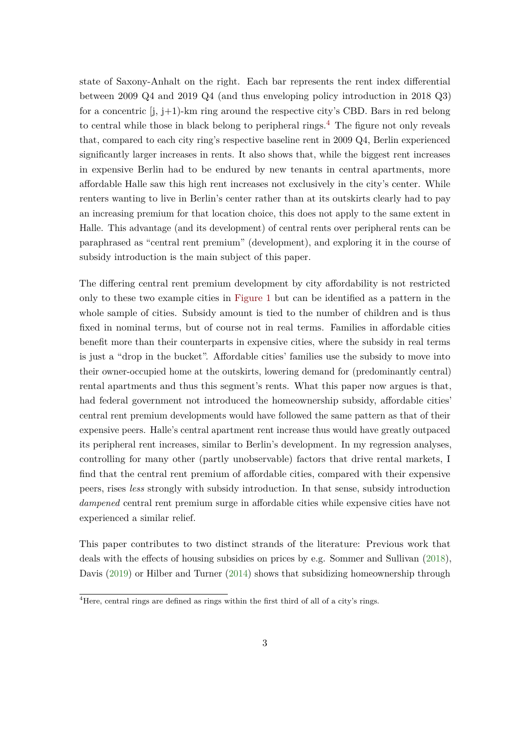state of Saxony-Anhalt on the right. Each bar represents the rent index differential between 2009 Q4 and 2019 Q4 (and thus enveloping policy introduction in 2018 Q3) for a concentric [j, j+1)-km ring around the respective city's CBD. Bars in red belong to central while those in black belong to peripheral rings.<sup>[4](#page-3-0)</sup> The figure not only reveals that, compared to each city ring's respective baseline rent in 2009 Q4, Berlin experienced significantly larger increases in rents. It also shows that, while the biggest rent increases in expensive Berlin had to be endured by new tenants in central apartments, more affordable Halle saw this high rent increases not exclusively in the city's center. While renters wanting to live in Berlin's center rather than at its outskirts clearly had to pay an increasing premium for that location choice, this does not apply to the same extent in Halle. This advantage (and its development) of central rents over peripheral rents can be paraphrased as "central rent premium" (development), and exploring it in the course of subsidy introduction is the main subject of this paper.

The differing central rent premium development by city affordability is not restricted only to these two example cities in [Figure 1](#page-2-1) but can be identified as a pattern in the whole sample of cities. Subsidy amount is tied to the number of children and is thus fixed in nominal terms, but of course not in real terms. Families in affordable cities benefit more than their counterparts in expensive cities, where the subsidy in real terms is just a "drop in the bucket". Affordable cities' families use the subsidy to move into their owner-occupied home at the outskirts, lowering demand for (predominantly central) rental apartments and thus this segment's rents. What this paper now argues is that, had federal government not introduced the homeownership subsidy, affordable cities' central rent premium developments would have followed the same pattern as that of their expensive peers. Halle's central apartment rent increase thus would have greatly outpaced its peripheral rent increases, similar to Berlin's development. In my regression analyses, controlling for many other (partly unobservable) factors that drive rental markets, I find that the central rent premium of affordable cities, compared with their expensive peers, rises *less* strongly with subsidy introduction. In that sense, subsidy introduction *dampened* central rent premium surge in affordable cities while expensive cities have not experienced a similar relief.

This paper contributes to two distinct strands of the literature: Previous work that deals with the effects of housing subsidies on prices by e.g. Sommer and Sullivan [\(2018\)](#page-46-0), Davis [\(2019\)](#page-44-3) or Hilber and Turner [\(2014\)](#page-45-2) shows that subsidizing homeownership through

<span id="page-3-0"></span> $4$ <sub>Here, central rings</sub> are defined as rings within the first third of all of a city's rings.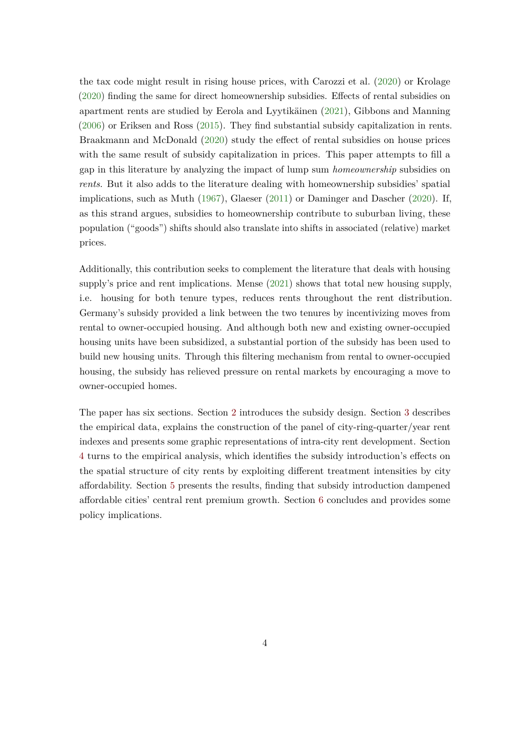the tax code might result in rising house prices, with Carozzi et al. [\(2020\)](#page-44-4) or Krolage [\(2020\)](#page-46-1) finding the same for direct homeownership subsidies. Effects of rental subsidies on apartment rents are studied by Eerola and Lyytikäinen [\(2021\)](#page-44-5), Gibbons and Manning [\(2006\)](#page-45-3) or Eriksen and Ross [\(2015\)](#page-45-4). They find substantial subsidy capitalization in rents. Braakmann and McDonald [\(2020\)](#page-44-6) study the effect of rental subsidies on house prices with the same result of subsidy capitalization in prices. This paper attempts to fill a gap in this literature by analyzing the impact of lump sum *homeownership* subsidies on *rents*. But it also adds to the literature dealing with homeownership subsidies' spatial implications, such as Muth [\(1967\)](#page-46-2), Glaeser [\(2011\)](#page-45-5) or Daminger and Dascher [\(2020\)](#page-44-0). If, as this strand argues, subsidies to homeownership contribute to suburban living, these population ("goods") shifts should also translate into shifts in associated (relative) market prices.

Additionally, this contribution seeks to complement the literature that deals with housing supply's price and rent implications. Mense [\(2021\)](#page-46-3) shows that total new housing supply, i.e. housing for both tenure types, reduces rents throughout the rent distribution. Germany's subsidy provided a link between the two tenures by incentivizing moves from rental to owner-occupied housing. And although both new and existing owner-occupied housing units have been subsidized, a substantial portion of the subsidy has been used to build new housing units. Through this filtering mechanism from rental to owner-occupied housing, the subsidy has relieved pressure on rental markets by encouraging a move to owner-occupied homes.

The paper has six sections. Section [2](#page-5-0) introduces the subsidy design. Section [3](#page-7-0) describes the empirical data, explains the construction of the panel of city-ring-quarter/year rent indexes and presents some graphic representations of intra-city rent development. Section [4](#page-13-0) turns to the empirical analysis, which identifies the subsidy introduction's effects on the spatial structure of city rents by exploiting different treatment intensities by city affordability. Section [5](#page-21-0) presents the results, finding that subsidy introduction dampened affordable cities' central rent premium growth. Section [6](#page-27-0) concludes and provides some policy implications.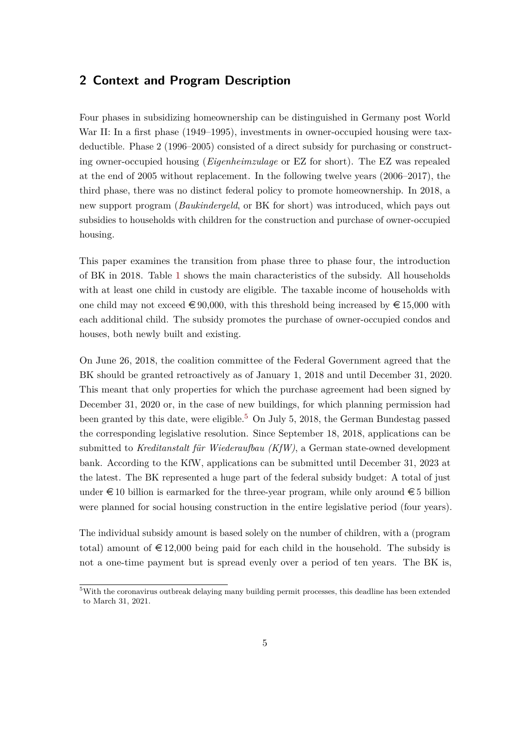### <span id="page-5-0"></span>**2 Context and Program Description**

Four phases in subsidizing homeownership can be distinguished in Germany post World War II: In a first phase (1949–1995), investments in owner-occupied housing were taxdeductible. Phase 2 (1996–2005) consisted of a direct subsidy for purchasing or constructing owner-occupied housing (*Eigenheimzulage* or EZ for short). The EZ was repealed at the end of 2005 without replacement. In the following twelve years (2006–2017), the third phase, there was no distinct federal policy to promote homeownership. In 2018, a new support program (*Baukindergeld*, or BK for short) was introduced, which pays out subsidies to households with children for the construction and purchase of owner-occupied housing.

This paper examines the transition from phase three to phase four, the introduction of BK in 2018. Table [1](#page-6-0) shows the main characteristics of the subsidy. All households with at least one child in custody are eligible. The taxable income of households with one child may not exceed  $\epsilon \neq 90,000$ , with this threshold being increased by  $\epsilon \neq 15,000$  with each additional child. The subsidy promotes the purchase of owner-occupied condos and houses, both newly built and existing.

On June 26, 2018, the coalition committee of the Federal Government agreed that the BK should be granted retroactively as of January 1, 2018 and until December 31, 2020. This meant that only properties for which the purchase agreement had been signed by December 31, 2020 or, in the case of new buildings, for which planning permission had been granted by this date, were eligible.<sup>[5](#page-5-1)</sup> On July 5, 2018, the German Bundestag passed the corresponding legislative resolution. Since September 18, 2018, applications can be submitted to *Kreditanstalt für Wiederaufbau (KfW)*, a German state-owned development bank. According to the KfW, applications can be submitted until December 31, 2023 at the latest. The BK represented a huge part of the federal subsidy budget: A total of just under  $\in 10$  billion is earmarked for the three-year program, while only around  $\in 5$  billion were planned for social housing construction in the entire legislative period (four years).

The individual subsidy amount is based solely on the number of children, with a (program total) amount of  $\epsilon$  12,000 being paid for each child in the household. The subsidy is not a one-time payment but is spread evenly over a period of ten years. The BK is,

<span id="page-5-1"></span><sup>5</sup>With the coronavirus outbreak delaying many building permit processes, this deadline has been extended to March 31, 2021.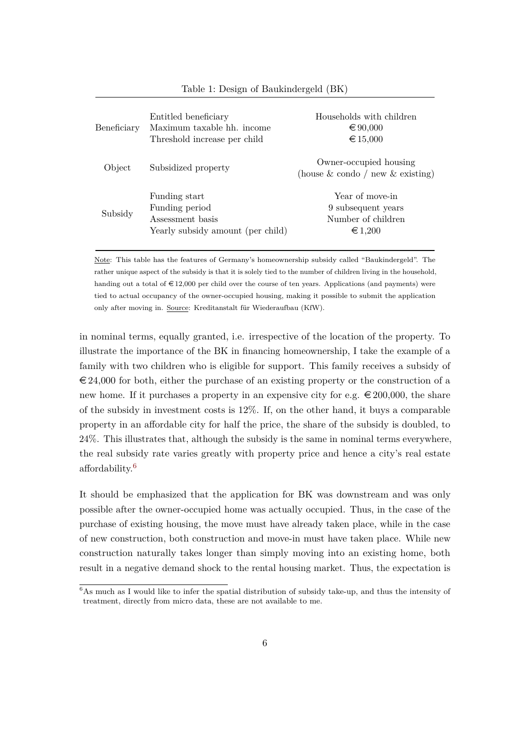<span id="page-6-0"></span>

| Beneficiary | Entitled beneficiary<br>Maximum taxable hh. income<br>Threshold increase per child       | Households with children<br>$\epsilon$ 90,000<br>€ 15,000                  |
|-------------|------------------------------------------------------------------------------------------|----------------------------------------------------------------------------|
| Object      | Subsidized property                                                                      | Owner-occupied housing<br>(house $\&$ condo / new $\&$ existing)           |
| Subsidy     | Funding start<br>Funding period<br>Assessment basis<br>Yearly subsidy amount (per child) | Year of move-in<br>9 subsequent years<br>Number of children<br>$\in$ 1,200 |

#### Table 1: Design of Baukindergeld (BK)

Note: This table has the features of Germany's homeownership subsidy called "Baukindergeld". The rather unique aspect of the subsidy is that it is solely tied to the number of children living in the household, handing out a total of  $\epsilon$ 12,000 per child over the course of ten years. Applications (and payments) were tied to actual occupancy of the owner-occupied housing, making it possible to submit the application only after moving in. Source: Kreditanstalt für Wiederaufbau (KfW).

in nominal terms, equally granted, i.e. irrespective of the location of the property. To illustrate the importance of the BK in financing homeownership, I take the example of a family with two children who is eligible for support. This family receives a subsidy of  $\epsilon$  24,000 for both, either the purchase of an existing property or the construction of a new home. If it purchases a property in an expensive city for e.g.  $\in 200,000$ , the share of the subsidy in investment costs is 12%. If, on the other hand, it buys a comparable property in an affordable city for half the price, the share of the subsidy is doubled, to 24%. This illustrates that, although the subsidy is the same in nominal terms everywhere, the real subsidy rate varies greatly with property price and hence a city's real estate affordability.[6](#page-6-1)

It should be emphasized that the application for BK was downstream and was only possible after the owner-occupied home was actually occupied. Thus, in the case of the purchase of existing housing, the move must have already taken place, while in the case of new construction, both construction and move-in must have taken place. While new construction naturally takes longer than simply moving into an existing home, both result in a negative demand shock to the rental housing market. Thus, the expectation is

<span id="page-6-1"></span><sup>&</sup>lt;sup>6</sup>As much as I would like to infer the spatial distribution of subsidy take-up, and thus the intensity of treatment, directly from micro data, these are not available to me.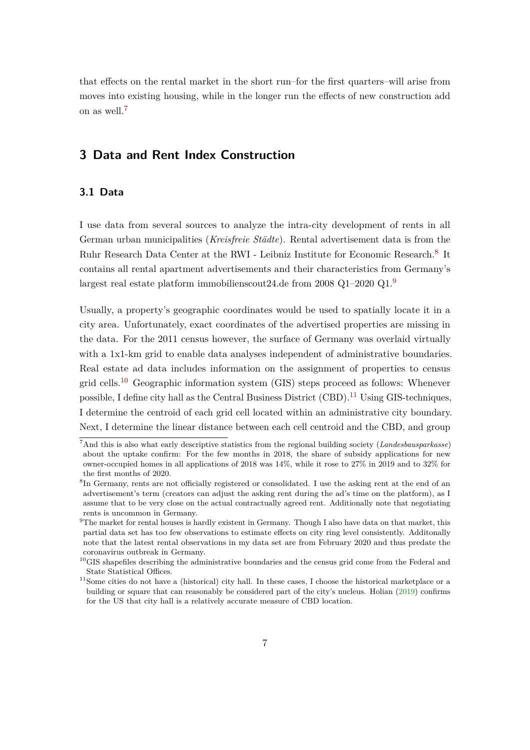that effects on the rental market in the short run–for the first quarters–will arise from moves into existing housing, while in the longer run the effects of new construction add on as well.[7](#page-7-1)

### <span id="page-7-0"></span>**3 Data and Rent Index Construction**

#### **3.1 Data**

I use data from several sources to analyze the intra-city development of rents in all German urban municipalities (*Kreisfreie Städte*). Rental advertisement data is from the Ruhr Research Data Center at the RWI - Leibniz Institute for Economic Research.<sup>[8](#page-7-2)</sup> It contains all rental apartment advertisements and their characteristics from Germany's largest real estate platform immobilienscout24.de from 2008 Q1–2020 Q1.[9](#page-7-3)

Usually, a property's geographic coordinates would be used to spatially locate it in a city area. Unfortunately, exact coordinates of the advertised properties are missing in the data. For the 2011 census however, the surface of Germany was overlaid virtually with a 1x1-km grid to enable data analyses independent of administrative boundaries. Real estate ad data includes information on the assignment of properties to census grid cells.<sup>[10](#page-7-4)</sup> Geographic information system (GIS) steps proceed as follows: Whenever possible, I define city hall as the Central Business District  $(CBD)$ .<sup>[11](#page-7-5)</sup> Using GIS-techniques, I determine the centroid of each grid cell located within an administrative city boundary. Next, I determine the linear distance between each cell centroid and the CBD, and group

<span id="page-7-1"></span><sup>7</sup>And this is also what early descriptive statistics from the regional building society (*Landesbausparkasse*) about the uptake confirm: For the few months in 2018, the share of subsidy applications for new owner-occupied homes in all applications of 2018 was 14%, while it rose to 27% in 2019 and to 32% for the first months of 2020.

<span id="page-7-2"></span><sup>&</sup>lt;sup>8</sup>In Germany, rents are not officially registered or consolidated. I use the asking rent at the end of an advertisement's term (creators can adjust the asking rent during the ad's time on the platform), as I assume that to be very close on the actual contractually agreed rent. Additionally note that negotiating rents is uncommon in Germany.

<span id="page-7-3"></span> $9$ The market for rental houses is hardly existent in Germany. Though I also have data on that market, this partial data set has too few observations to estimate effects on city ring level consistently. Additonally note that the latest rental observations in my data set are from February 2020 and thus predate the coronavirus outbreak in Germany.

<span id="page-7-4"></span><sup>&</sup>lt;sup>10</sup>GIS shapefiles describing the administrative boundaries and the census grid come from the Federal and State Statistical Offices.

<span id="page-7-5"></span><sup>&</sup>lt;sup>11</sup>Some cities do not have a (historical) city hall. In these cases, I choose the historical marketplace or a building or square that can reasonably be considered part of the city's nucleus. Holian [\(2019\)](#page-45-6) confirms for the US that city hall is a relatively accurate measure of CBD location.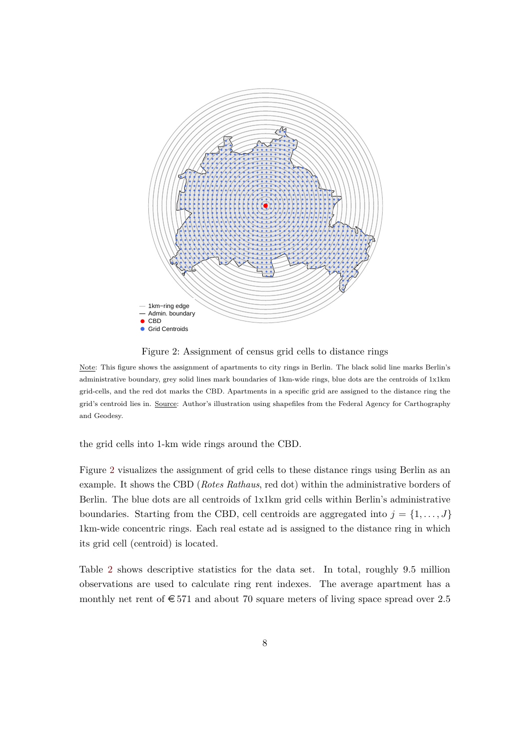<span id="page-8-0"></span>

Figure 2: Assignment of census grid cells to distance rings

Note: This figure shows the assignment of apartments to city rings in Berlin. The black solid line marks Berlin's administrative boundary, grey solid lines mark boundaries of 1km-wide rings, blue dots are the centroids of 1x1km grid-cells, and the red dot marks the CBD. Apartments in a specific grid are assigned to the distance ring the grid's centroid lies in. Source: Author's illustration using shapefiles from the Federal Agency for Carthography and Geodesy.

the grid cells into 1-km wide rings around the CBD.

Figure [2](#page-8-0) visualizes the assignment of grid cells to these distance rings using Berlin as an example. It shows the CBD (*Rotes Rathaus*, red dot) within the administrative borders of Berlin. The blue dots are all centroids of 1x1km grid cells within Berlin's administrative boundaries. Starting from the CBD, cell centroids are aggregated into  $j = \{1, \ldots, J\}$ 1km-wide concentric rings. Each real estate ad is assigned to the distance ring in which its grid cell (centroid) is located.

Table [2](#page-9-0) shows descriptive statistics for the data set. In total, roughly 9.5 million observations are used to calculate ring rent indexes. The average apartment has a monthly net rent of  $\epsilon$  571 and about 70 square meters of living space spread over 2.5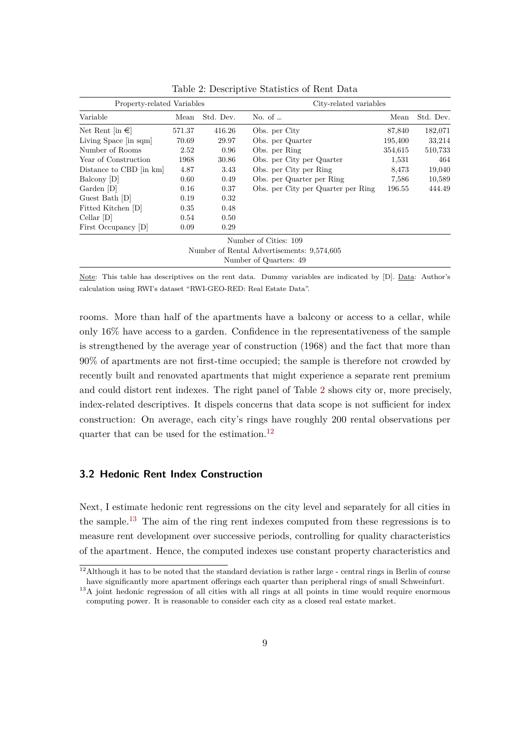<span id="page-9-0"></span>

| Property-related Variables            |        |           | City-related variables                     |         |           |
|---------------------------------------|--------|-----------|--------------------------------------------|---------|-----------|
| Variable                              | Mean   | Std. Dev. | No. of $\ldots$                            | Mean    | Std. Dev. |
| Net Rent $\left[\text{in }\in\right]$ | 571.37 | 416.26    | Obs. per City                              | 87,840  | 182,071   |
| Living Space [in sqm]                 | 70.69  | 29.97     | Obs. per Quarter                           | 195,400 | 33,214    |
| Number of Rooms                       | 2.52   | 0.96      | Obs. per Ring                              | 354,615 | 510,733   |
| Year of Construction                  | 1968   | 30.86     | Obs. per City per Quarter                  | 1,531   | 464       |
| Distance to CBD [in km]               | 4.87   | 3.43      | Obs. per City per Ring                     | 8,473   | 19,040    |
| Balcony [D]                           | 0.60   | 0.49      | Obs. per Quarter per Ring                  | 7,586   | 10,589    |
| Garden [D]                            | 0.16   | 0.37      | Obs. per City per Quarter per Ring         | 196.55  | 444.49    |
| Guest Bath [D]                        | 0.19   | 0.32      |                                            |         |           |
| Fitted Kitchen [D]                    | 0.35   | 0.48      |                                            |         |           |
| $Cellar$ [D]                          | 0.54   | 0.50      |                                            |         |           |
| First Occupancy [D]                   | 0.09   | 0.29      |                                            |         |           |
|                                       |        |           | Number of Cities: 109                      |         |           |
|                                       |        |           | Number of Rental Advertisements: 9,574,605 |         |           |
|                                       |        |           | Number of Quarters: 49                     |         |           |

Table 2: Descriptive Statistics of Rent Data

Note: This table has descriptives on the rent data. Dummy variables are indicated by [D]. Data: Author's calculation using RWI's dataset "RWI-GEO-RED: Real Estate Data".

rooms. More than half of the apartments have a balcony or access to a cellar, while only 16% have access to a garden. Confidence in the representativeness of the sample is strengthened by the average year of construction (1968) and the fact that more than 90% of apartments are not first-time occupied; the sample is therefore not crowded by recently built and renovated apartments that might experience a separate rent premium and could distort rent indexes. The right panel of Table [2](#page-9-0) shows city or, more precisely, index-related descriptives. It dispels concerns that data scope is not sufficient for index construction: On average, each city's rings have roughly 200 rental observations per quarter that can be used for the estimation.[12](#page-9-1)

### **3.2 Hedonic Rent Index Construction**

Next, I estimate hedonic rent regressions on the city level and separately for all cities in the sample.[13](#page-9-2) The aim of the ring rent indexes computed from these regressions is to measure rent development over successive periods, controlling for quality characteristics of the apartment. Hence, the computed indexes use constant property characteristics and

<span id="page-9-1"></span> $12$ Although it has to be noted that the standard deviation is rather large - central rings in Berlin of course have significantly more apartment offerings each quarter than peripheral rings of small Schweinfurt.

<span id="page-9-2"></span><sup>&</sup>lt;sup>13</sup>A joint hedonic regression of all cities with all rings at all points in time would require enormous computing power. It is reasonable to consider each city as a closed real estate market.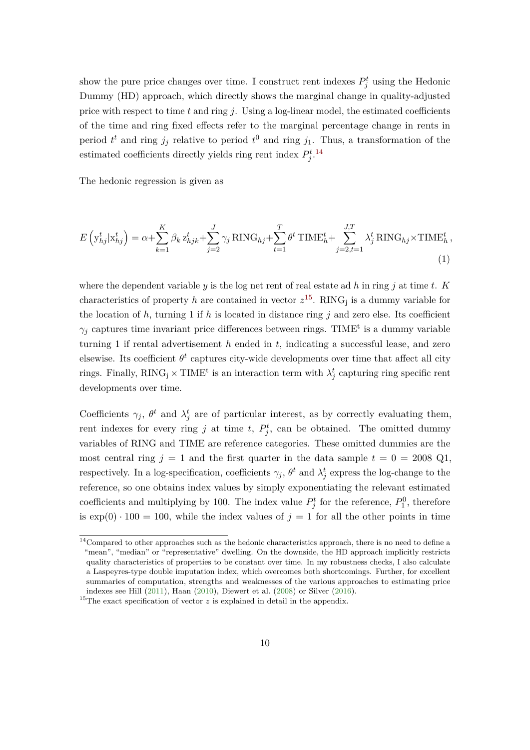show the pure price changes over time. I construct rent indexes  $P_j^t$  using the Hedonic Dummy (HD) approach, which directly shows the marginal change in quality-adjusted price with respect to time  $t$  and ring  $j$ . Using a log-linear model, the estimated coefficients of the time and ring fixed effects refer to the marginal percentage change in rents in period  $t^t$  and ring  $j_j$  relative to period  $t^0$  and ring  $j_1$ . Thus, a transformation of the estimated coefficients directly yields ring rent index  $P_j^t$ .<sup>[14](#page-10-0)</sup>

The hedonic regression is given as

$$
E\left(\mathbf{y}_{hj}^t|\mathbf{x}_{hj}^t\right) = \alpha + \sum_{k=1}^K \beta_k \mathbf{z}_{hjk}^t + \sum_{j=2}^J \gamma_j \text{RING}_{hj} + \sum_{t=1}^T \theta^t \text{TIME}_h^t + \sum_{j=2, t=1}^{J,T} \lambda_j^t \text{RING}_{hj} \times \text{TIME}_h^t,
$$
\n(1)

where the dependent variable  $y$  is the log net rent of real estate ad  $h$  in ring  $j$  at time  $t$ .  $K$ characteristics of property *h* are contained in vector  $z^{15}$  $z^{15}$  $z^{15}$ . RING<sub>j</sub> is a dummy variable for the location of  $h$ , turning 1 if  $h$  is located in distance ring  $j$  and zero else. Its coefficient  $\gamma_j$  captures time invariant price differences between rings. TIME<sup>t</sup> is a dummy variable turning 1 if rental advertisement *h* ended in *t*, indicating a successful lease, and zero elsewise. Its coefficient  $\theta^t$  captures city-wide developments over time that affect all city rings. Finally,  $\text{RING}_j \times \text{TIME}^t$  is an interaction term with  $\lambda_j^t$  capturing ring specific rent developments over time.

Coefficients  $\gamma_j$ ,  $\theta^t$  and  $\lambda_j^t$  are of particular interest, as by correctly evaluating them, rent indexes for every ring *j* at time *t*,  $P_j^t$ , can be obtained. The omitted dummy variables of RING and TIME are reference categories. These omitted dummies are the most central ring  $j = 1$  and the first quarter in the data sample  $t = 0 = 2008 \text{ Q1}$ , respectively. In a log-specification, coefficients  $\gamma_j$ ,  $\theta^t$  and  $\lambda_j^t$  express the log-change to the reference, so one obtains index values by simply exponentiating the relevant estimated coefficients and multiplying by 100. The index value  $P_j^t$  for the reference,  $P_1^0$ , therefore is  $\exp(0) \cdot 100 = 100$ , while the index values of  $j = 1$  for all the other points in time

<span id="page-10-0"></span><sup>&</sup>lt;sup>14</sup>Compared to other approaches such as the hedonic characteristics approach, there is no need to define a "mean", "median" or "representative" dwelling. On the downside, the HD approach implicitly restricts quality characteristics of properties to be constant over time. In my robustness checks, I also calculate a Laspeyres-type double imputation index, which overcomes both shortcomings. Further, for excellent summaries of computation, strengths and weaknesses of the various approaches to estimating price indexes see Hill [\(2011\)](#page-45-7), Haan [\(2010\)](#page-45-8), Diewert et al. [\(2008\)](#page-44-7) or Silver [\(2016\)](#page-46-4).

<span id="page-10-1"></span><sup>&</sup>lt;sup>15</sup>The exact specification of vector  $z$  is explained in detail in the appendix.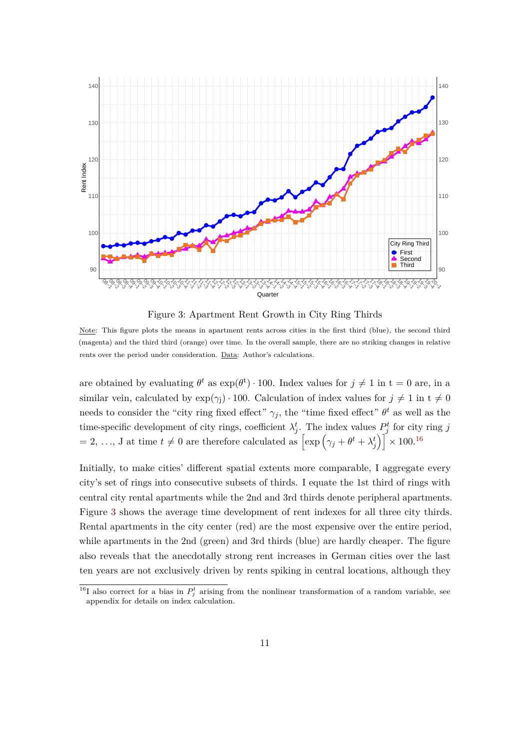<span id="page-11-1"></span>

Figure 3: Apartment Rent Growth in City Ring Thirds

Note: This figure plots the means in apartment rents across cities in the first third (blue), the second third (magenta) and the third third (orange) over time. In the overall sample, there are no striking changes in relative rents over the period under consideration. Data: Author's calculations.

are obtained by evaluating  $\theta^t$  as  $\exp(\theta^t) \cdot 100$ . Index values for  $j \neq 1$  in  $t = 0$  are, in a similar vein, calculated by  $\exp(\gamma_i) \cdot 100$ . Calculation of index values for  $j \neq 1$  in  $t \neq 0$ needs to consider the "city ring fixed effect"  $\gamma_j$ , the "time fixed effect"  $\theta^t$  as well as the time-specific development of city rings, coefficient  $\lambda_j^t$ . The index values  $P_j^t$  for city ring *j*  $\left[ \exp \left( \gamma_j + \theta^t + \lambda_j^t \right) \right] \times 100^{16}$  $\left[ \exp \left( \gamma_j + \theta^t + \lambda_j^t \right) \right] \times 100^{16}$  $\left[ \exp \left( \gamma_j + \theta^t + \lambda_j^t \right) \right] \times 100^{16}$ 

Initially, to make cities' different spatial extents more comparable, I aggregate every city's set of rings into consecutive subsets of thirds. I equate the 1st third of rings with central city rental apartments while the 2nd and 3rd thirds denote peripheral apartments. Figure [3](#page-11-1) shows the average time development of rent indexes for all three city thirds. Rental apartments in the city center (red) are the most expensive over the entire period, while apartments in the 2nd (green) and 3rd thirds (blue) are hardly cheaper. The figure also reveals that the anecdotally strong rent increases in German cities over the last ten years are not exclusively driven by rents spiking in central locations, although they

<span id="page-11-0"></span><sup>&</sup>lt;sup>16</sup>I also correct for a bias in  $P_j^t$  arising from the nonlinear transformation of a random variable, see appendix for details on index calculation.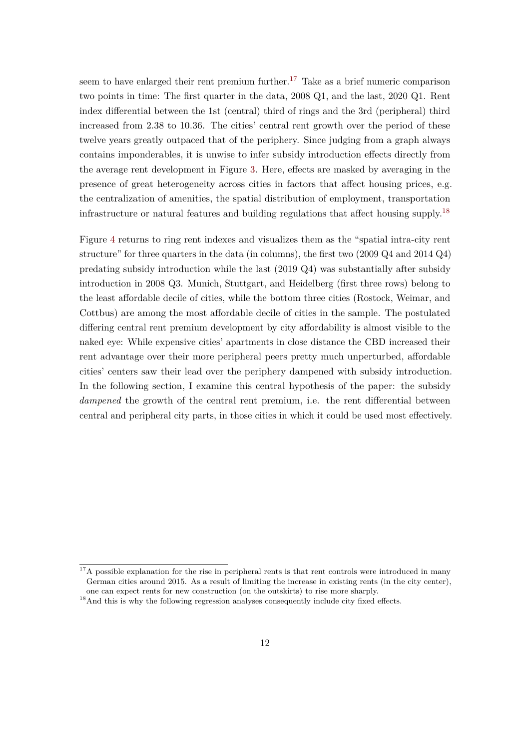seem to have enlarged their rent premium further.<sup>[17](#page-12-0)</sup> Take as a brief numeric comparison two points in time: The first quarter in the data, 2008 Q1, and the last, 2020 Q1. Rent index differential between the 1st (central) third of rings and the 3rd (peripheral) third increased from 2*.*38 to 10*.*36. The cities' central rent growth over the period of these twelve years greatly outpaced that of the periphery. Since judging from a graph always contains imponderables, it is unwise to infer subsidy introduction effects directly from the average rent development in Figure [3.](#page-11-1) Here, effects are masked by averaging in the presence of great heterogeneity across cities in factors that affect housing prices, e.g. the centralization of amenities, the spatial distribution of employment, transportation infrastructure or natural features and building regulations that affect housing supply.[18](#page-12-1)

Figure [4](#page-13-1) returns to ring rent indexes and visualizes them as the "spatial intra-city rent structure" for three quarters in the data (in columns), the first two (2009 Q4 and 2014 Q4) predating subsidy introduction while the last (2019 Q4) was substantially after subsidy introduction in 2008 Q3. Munich, Stuttgart, and Heidelberg (first three rows) belong to the least affordable decile of cities, while the bottom three cities (Rostock, Weimar, and Cottbus) are among the most affordable decile of cities in the sample. The postulated differing central rent premium development by city affordability is almost visible to the naked eye: While expensive cities' apartments in close distance the CBD increased their rent advantage over their more peripheral peers pretty much unperturbed, affordable cities' centers saw their lead over the periphery dampened with subsidy introduction. In the following section, I examine this central hypothesis of the paper: the subsidy *dampened* the growth of the central rent premium, i.e. the rent differential between central and peripheral city parts, in those cities in which it could be used most effectively.

<span id="page-12-0"></span><sup>&</sup>lt;sup>17</sup>A possible explanation for the rise in peripheral rents is that rent controls were introduced in many German cities around 2015. As a result of limiting the increase in existing rents (in the city center), one can expect rents for new construction (on the outskirts) to rise more sharply.

<span id="page-12-1"></span><sup>&</sup>lt;sup>18</sup>And this is why the following regression analyses consequently include city fixed effects.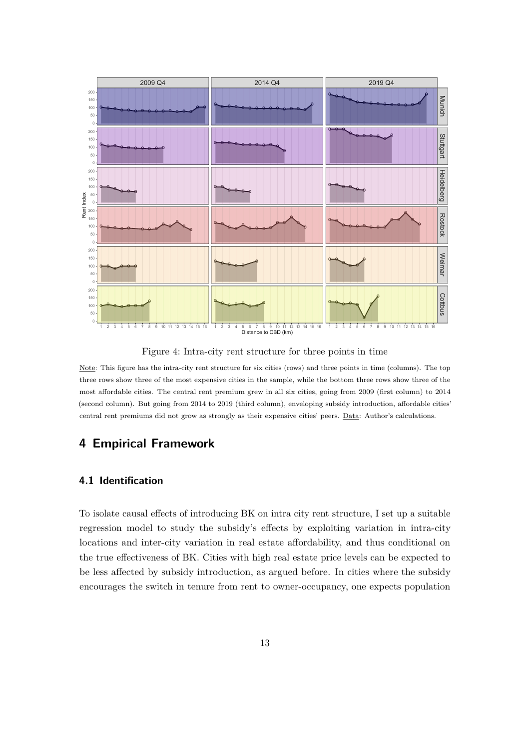<span id="page-13-1"></span>

Figure 4: Intra-city rent structure for three points in time

Note: This figure has the intra-city rent structure for six cities (rows) and three points in time (columns). The top three rows show three of the most expensive cities in the sample, while the bottom three rows show three of the most affordable cities. The central rent premium grew in all six cities, going from 2009 (first column) to 2014 (second column). But going from 2014 to 2019 (third column), enveloping subsidy introduction, affordable cities' central rent premiums did not grow as strongly as their expensive cities' peers. Data: Author's calculations.

### <span id="page-13-0"></span>**4 Empirical Framework**

### **4.1 Identification**

To isolate causal effects of introducing BK on intra city rent structure, I set up a suitable regression model to study the subsidy's effects by exploiting variation in intra-city locations and inter-city variation in real estate affordability, and thus conditional on the true effectiveness of BK. Cities with high real estate price levels can be expected to be less affected by subsidy introduction, as argued before. In cities where the subsidy encourages the switch in tenure from rent to owner-occupancy, one expects population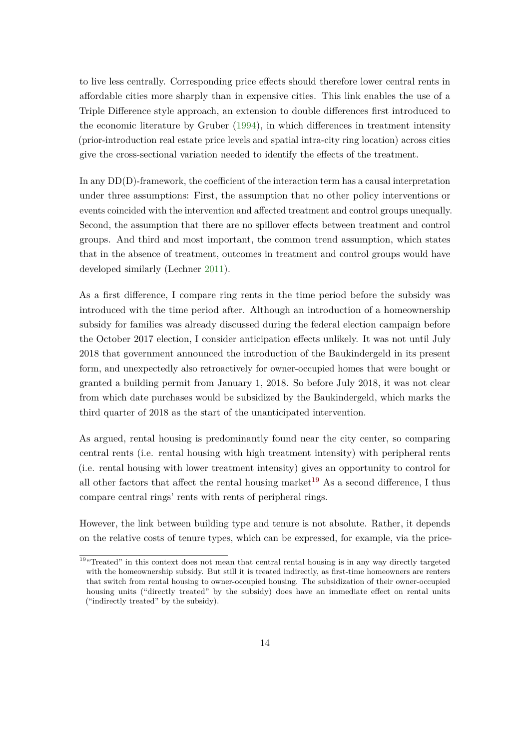to live less centrally. Corresponding price effects should therefore lower central rents in affordable cities more sharply than in expensive cities. This link enables the use of a Triple Difference style approach, an extension to double differences first introduced to the economic literature by Gruber [\(1994\)](#page-45-9), in which differences in treatment intensity (prior-introduction real estate price levels and spatial intra-city ring location) across cities give the cross-sectional variation needed to identify the effects of the treatment.

In any DD(D)-framework, the coefficient of the interaction term has a causal interpretation under three assumptions: First, the assumption that no other policy interventions or events coincided with the intervention and affected treatment and control groups unequally. Second, the assumption that there are no spillover effects between treatment and control groups. And third and most important, the common trend assumption, which states that in the absence of treatment, outcomes in treatment and control groups would have developed similarly (Lechner [2011\)](#page-46-5).

As a first difference, I compare ring rents in the time period before the subsidy was introduced with the time period after. Although an introduction of a homeownership subsidy for families was already discussed during the federal election campaign before the October 2017 election, I consider anticipation effects unlikely. It was not until July 2018 that government announced the introduction of the Baukindergeld in its present form, and unexpectedly also retroactively for owner-occupied homes that were bought or granted a building permit from January 1, 2018. So before July 2018, it was not clear from which date purchases would be subsidized by the Baukindergeld, which marks the third quarter of 2018 as the start of the unanticipated intervention.

As argued, rental housing is predominantly found near the city center, so comparing central rents (i.e. rental housing with high treatment intensity) with peripheral rents (i.e. rental housing with lower treatment intensity) gives an opportunity to control for all other factors that affect the rental housing market<sup>[19](#page-14-0)</sup> As a second difference, I thus compare central rings' rents with rents of peripheral rings.

However, the link between building type and tenure is not absolute. Rather, it depends on the relative costs of tenure types, which can be expressed, for example, via the price-

<span id="page-14-0"></span><sup>&</sup>lt;sup>19"</sup>Treated" in this context does not mean that central rental housing is in any way directly targeted with the homeownership subsidy. But still it is treated indirectly, as first-time homeowners are renters that switch from rental housing to owner-occupied housing. The subsidization of their owner-occupied housing units ("directly treated" by the subsidy) does have an immediate effect on rental units ("indirectly treated" by the subsidy).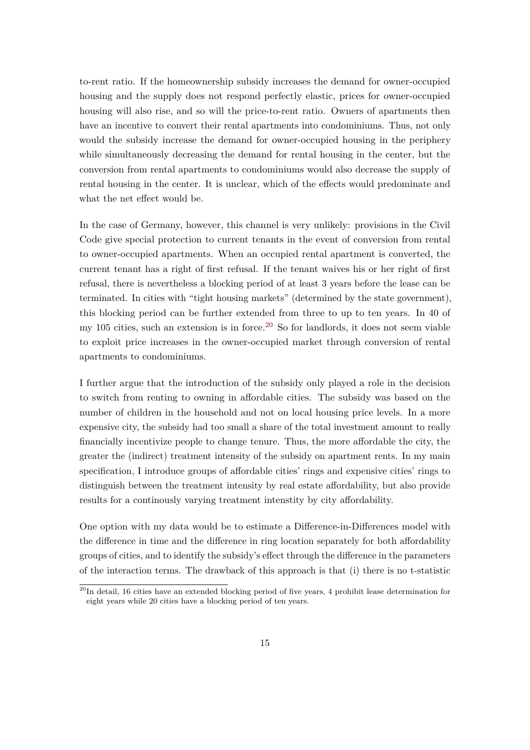to-rent ratio. If the homeownership subsidy increases the demand for owner-occupied housing and the supply does not respond perfectly elastic, prices for owner-occupied housing will also rise, and so will the price-to-rent ratio. Owners of apartments then have an incentive to convert their rental apartments into condominiums. Thus, not only would the subsidy increase the demand for owner-occupied housing in the periphery while simultaneously decreasing the demand for rental housing in the center, but the conversion from rental apartments to condominiums would also decrease the supply of rental housing in the center. It is unclear, which of the effects would predominate and what the net effect would be.

In the case of Germany, however, this channel is very unlikely: provisions in the Civil Code give special protection to current tenants in the event of conversion from rental to owner-occupied apartments. When an occupied rental apartment is converted, the current tenant has a right of first refusal. If the tenant waives his or her right of first refusal, there is nevertheless a blocking period of at least 3 years before the lease can be terminated. In cities with "tight housing markets" (determined by the state government), this blocking period can be further extended from three to up to ten years. In 40 of my 105 cities, such an extension is in force.<sup>[20](#page-15-0)</sup> So for landlords, it does not seem viable to exploit price increases in the owner-occupied market through conversion of rental apartments to condominiums.

I further argue that the introduction of the subsidy only played a role in the decision to switch from renting to owning in affordable cities. The subsidy was based on the number of children in the household and not on local housing price levels. In a more expensive city, the subsidy had too small a share of the total investment amount to really financially incentivize people to change tenure. Thus, the more affordable the city, the greater the (indirect) treatment intensity of the subsidy on apartment rents. In my main specification, I introduce groups of affordable cities' rings and expensive cities' rings to distinguish between the treatment intensity by real estate affordability, but also provide results for a continously varying treatment intenstity by city affordability.

One option with my data would be to estimate a Difference-in-Differences model with the difference in time and the difference in ring location separately for both affordability groups of cities, and to identify the subsidy's effect through the difference in the parameters of the interaction terms. The drawback of this approach is that (i) there is no t-statistic

<span id="page-15-0"></span> $^{20}$ In detail, 16 cities have an extended blocking period of five years, 4 prohibit lease determination for eight years while 20 cities have a blocking period of ten years.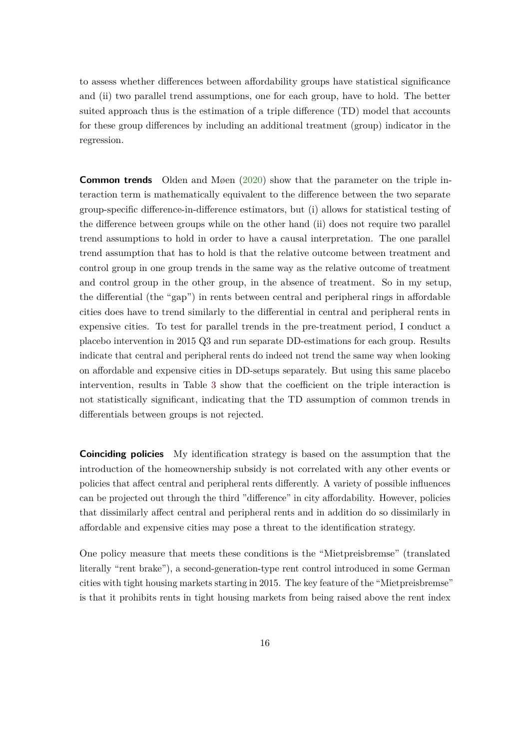to assess whether differences between affordability groups have statistical significance and (ii) two parallel trend assumptions, one for each group, have to hold. The better suited approach thus is the estimation of a triple difference (TD) model that accounts for these group differences by including an additional treatment (group) indicator in the regression.

**Common trends** Olden and Møen [\(2020\)](#page-46-6) show that the parameter on the triple interaction term is mathematically equivalent to the difference between the two separate group-specific difference-in-difference estimators, but (i) allows for statistical testing of the difference between groups while on the other hand (ii) does not require two parallel trend assumptions to hold in order to have a causal interpretation. The one parallel trend assumption that has to hold is that the relative outcome between treatment and control group in one group trends in the same way as the relative outcome of treatment and control group in the other group, in the absence of treatment. So in my setup, the differential (the "gap") in rents between central and peripheral rings in affordable cities does have to trend similarly to the differential in central and peripheral rents in expensive cities. To test for parallel trends in the pre-treatment period, I conduct a placebo intervention in 2015 Q3 and run separate DD-estimations for each group. Results indicate that central and peripheral rents do indeed not trend the same way when looking on affordable and expensive cities in DD-setups separately. But using this same placebo intervention, results in Table [3](#page-17-0) show that the coefficient on the triple interaction is not statistically significant, indicating that the TD assumption of common trends in differentials between groups is not rejected.

**Coinciding policies** My identification strategy is based on the assumption that the introduction of the homeownership subsidy is not correlated with any other events or policies that affect central and peripheral rents differently. A variety of possible influences can be projected out through the third "difference" in city affordability. However, policies that dissimilarly affect central and peripheral rents and in addition do so dissimilarly in affordable and expensive cities may pose a threat to the identification strategy.

One policy measure that meets these conditions is the "Mietpreisbremse" (translated literally "rent brake"), a second-generation-type rent control introduced in some German cities with tight housing markets starting in 2015. The key feature of the "Mietpreisbremse" is that it prohibits rents in tight housing markets from being raised above the rent index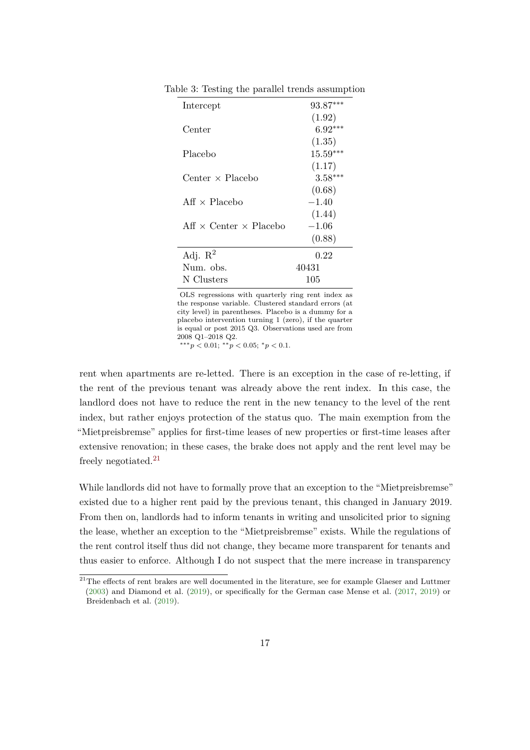| Intercept                            | $93.87***$ |
|--------------------------------------|------------|
|                                      | (1.92)     |
| Center                               | $6.92***$  |
|                                      | (1.35)     |
| Placebo                              | $15.59***$ |
|                                      | (1.17)     |
| Center $\times$ Placebo              | $3.58***$  |
|                                      | (0.68)     |
| $Aff \times Placebo$                 | $-1.40$    |
|                                      | (1.44)     |
| Aff $\times$ Center $\times$ Placebo | $-1.06$    |
|                                      | (0.88)     |
| Adj. $\mathbb{R}^2$                  | 0.22       |
| Num. obs.                            | 40431      |
| N Clusters                           | 105        |

<span id="page-17-0"></span>Table 3: Testing the parallel trends assumption

OLS regressions with quarterly ring rent index as the response variable. Clustered standard errors (at city level) in parentheses. Placebo is a dummy for a placebo intervention turning 1 (zero), if the quarter is equal or post 2015 Q3. Observations used are from 2008 Q1–2018 Q2.

∗∗∗*p <* 0*.*01; ∗∗*p <* 0*.*05; <sup>∗</sup>*p <* 0*.*1.

rent when apartments are re-letted. There is an exception in the case of re-letting, if the rent of the previous tenant was already above the rent index. In this case, the landlord does not have to reduce the rent in the new tenancy to the level of the rent index, but rather enjoys protection of the status quo. The main exemption from the "Mietpreisbremse" applies for first-time leases of new properties or first-time leases after extensive renovation; in these cases, the brake does not apply and the rent level may be freely negotiated.[21](#page-17-1)

While landlords did not have to formally prove that an exception to the "Mietpreisbremse" existed due to a higher rent paid by the previous tenant, this changed in January 2019. From then on, landlords had to inform tenants in writing and unsolicited prior to signing the lease, whether an exception to the "Mietpreisbremse" exists. While the regulations of the rent control itself thus did not change, they became more transparent for tenants and thus easier to enforce. Although I do not suspect that the mere increase in transparency

<span id="page-17-1"></span> $21$ The effects of rent brakes are well documented in the literature, see for example Glaeser and Luttmer [\(2003\)](#page-45-10) and Diamond et al. [\(2019\)](#page-44-8), or specifically for the German case Mense et al. [\(2017,](#page-46-7) [2019\)](#page-46-8) or Breidenbach et al. [\(2019\)](#page-44-9).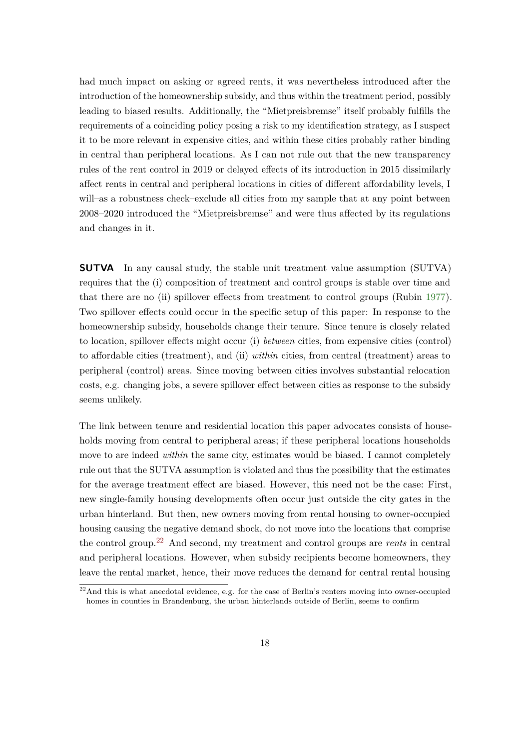had much impact on asking or agreed rents, it was nevertheless introduced after the introduction of the homeownership subsidy, and thus within the treatment period, possibly leading to biased results. Additionally, the "Mietpreisbremse" itself probably fulfills the requirements of a coinciding policy posing a risk to my identification strategy, as I suspect it to be more relevant in expensive cities, and within these cities probably rather binding in central than peripheral locations. As I can not rule out that the new transparency rules of the rent control in 2019 or delayed effects of its introduction in 2015 dissimilarly affect rents in central and peripheral locations in cities of different affordability levels, I will–as a robustness check–exclude all cities from my sample that at any point between 2008–2020 introduced the "Mietpreisbremse" and were thus affected by its regulations and changes in it.

**SUTVA** In any causal study, the stable unit treatment value assumption (SUTVA) requires that the (i) composition of treatment and control groups is stable over time and that there are no (ii) spillover effects from treatment to control groups (Rubin [1977\)](#page-46-9). Two spillover effects could occur in the specific setup of this paper: In response to the homeownership subsidy, households change their tenure. Since tenure is closely related to location, spillover effects might occur (i) *between* cities, from expensive cities (control) to affordable cities (treatment), and (ii) *within* cities, from central (treatment) areas to peripheral (control) areas. Since moving between cities involves substantial relocation costs, e.g. changing jobs, a severe spillover effect between cities as response to the subsidy seems unlikely.

The link between tenure and residential location this paper advocates consists of households moving from central to peripheral areas; if these peripheral locations households move to are indeed *within* the same city, estimates would be biased. I cannot completely rule out that the SUTVA assumption is violated and thus the possibility that the estimates for the average treatment effect are biased. However, this need not be the case: First, new single-family housing developments often occur just outside the city gates in the urban hinterland. But then, new owners moving from rental housing to owner-occupied housing causing the negative demand shock, do not move into the locations that comprise the control group.[22](#page-18-0) And second, my treatment and control groups are *rents* in central and peripheral locations. However, when subsidy recipients become homeowners, they leave the rental market, hence, their move reduces the demand for central rental housing

<span id="page-18-0"></span> $22$ And this is what anecdotal evidence, e.g. for the case of Berlin's renters moving into owner-occupied homes in counties in Brandenburg, the urban hinterlands outside of Berlin, seems to confirm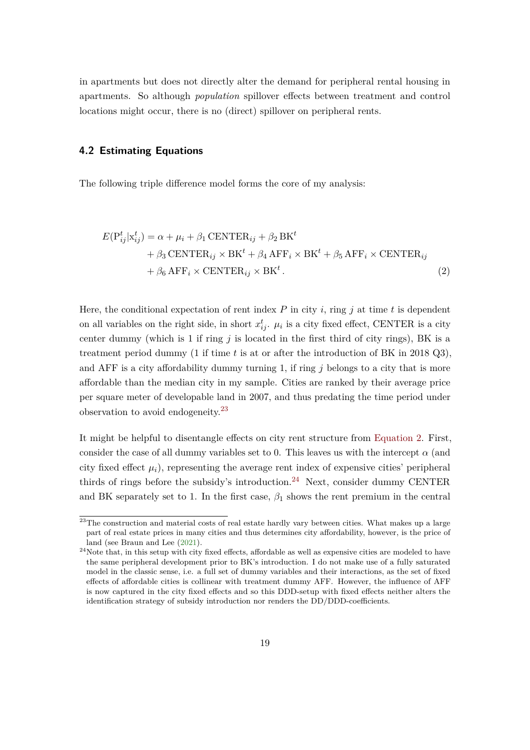in apartments but does not directly alter the demand for peripheral rental housing in apartments. So although *population* spillover effects between treatment and control locations might occur, there is no (direct) spillover on peripheral rents.

#### **4.2 Estimating Equations**

The following triple difference model forms the core of my analysis:

<span id="page-19-1"></span>
$$
E(P_{ij}^t | x_{ij}^t) = \alpha + \mu_i + \beta_1 \text{CENTER}_{ij} + \beta_2 \text{BK}^t
$$
  
+  $\beta_3 \text{ CENTER}_{ij} \times \text{BK}^t + \beta_4 \text{AFF}_i \times \text{BK}^t + \beta_5 \text{AFF}_i \times \text{CENTER}_{ij}$   
+  $\beta_6 \text{AFF}_i \times \text{CENTER}_{ij} \times \text{BK}^t$ . (2)

Here, the conditional expectation of rent index  $P$  in city  $i$ , ring  $j$  at time  $t$  is dependent on all variables on the right side, in short  $x_{ij}^t$ .  $\mu_i$  is a city fixed effect, CENTER is a city center dummy (which is 1 if ring  $j$  is located in the first third of city rings), BK is a treatment period dummy (1 if time *t* is at or after the introduction of BK in 2018 Q3), and AFF is a city affordability dummy turning 1, if ring *j* belongs to a city that is more affordable than the median city in my sample. Cities are ranked by their average price per square meter of developable land in 2007, and thus predating the time period under observation to avoid endogeneity.[23](#page-19-0)

It might be helpful to disentangle effects on city rent structure from [Equation 2.](#page-19-1) First, consider the case of all dummy variables set to 0. This leaves us with the intercept  $\alpha$  (and city fixed effect  $\mu_i$ ), representing the average rent index of expensive cities' peripheral thirds of rings before the subsidy's introduction.<sup>[24](#page-19-2)</sup> Next, consider dummy CENTER and BK separately set to 1. In the first case,  $\beta_1$  shows the rent premium in the central

<span id="page-19-0"></span><sup>&</sup>lt;sup>23</sup>The construction and material costs of real estate hardly vary between cities. What makes up a large part of real estate prices in many cities and thus determines city affordability, however, is the price of land (see Braun and Lee [\(2021\)](#page-44-10).

<span id="page-19-2"></span><sup>&</sup>lt;sup>24</sup>Note that, in this setup with city fixed effects, affordable as well as expensive cities are modeled to have the same peripheral development prior to BK's introduction. I do not make use of a fully saturated model in the classic sense, i.e. a full set of dummy variables and their interactions, as the set of fixed effects of affordable cities is collinear with treatment dummy AFF. However, the influence of AFF is now captured in the city fixed effects and so this DDD-setup with fixed effects neither alters the identification strategy of subsidy introduction nor renders the DD/DDD-coefficients.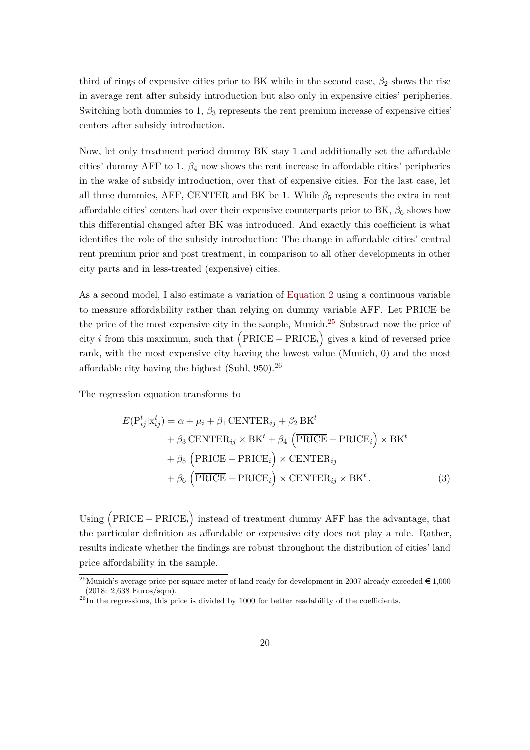third of rings of expensive cities prior to BK while in the second case,  $\beta_2$  shows the rise in average rent after subsidy introduction but also only in expensive cities' peripheries. Switching both dummies to 1,  $\beta_3$  represents the rent premium increase of expensive cities<sup>'</sup> centers after subsidy introduction.

Now, let only treatment period dummy BK stay 1 and additionally set the affordable cities' dummy AFF to 1.  $\beta_4$  now shows the rent increase in affordable cities' peripheries in the wake of subsidy introduction, over that of expensive cities. For the last case, let all three dummies, AFF, CENTER and BK be 1. While  $\beta_5$  represents the extra in rent affordable cities' centers had over their expensive counterparts prior to BK,  $\beta_6$  shows how this differential changed after BK was introduced. And exactly this coefficient is what identifies the role of the subsidy introduction: The change in affordable cities' central rent premium prior and post treatment, in comparison to all other developments in other city parts and in less-treated (expensive) cities.

As a second model, I also estimate a variation of [Equation 2](#page-19-1) using a continuous variable to measure affordability rather than relying on dummy variable AFF. Let  $\overline{PRICE}$  be the price of the most expensive city in the sample, Munich.<sup>[25](#page-20-0)</sup> Substract now the price of city *i* from this maximum, such that  $(\overline{PRICE} - PRICE_i)$  gives a kind of reversed price rank, with the most expensive city having the lowest value (Munich, 0) and the most affordable city having the highest (Suhl, 950).<sup>[26](#page-20-1)</sup>

The regression equation transforms to

<span id="page-20-2"></span>
$$
E(P_{ij}^t | x_{ij}^t) = \alpha + \mu_i + \beta_1 \text{CENTER}_{ij} + \beta_2 \text{BK}^t
$$
  
+  $\beta_3 \text{ CENTER}_{ij} \times \text{BK}^t + \beta_4 \left( \overline{\text{PRICE}} - \text{PRICE}_i \right) \times \text{BK}^t$   
+  $\beta_5 \left( \overline{\text{PRICE}} - \text{PRICE}_i \right) \times \text{CENTER}_{ij}$   
+  $\beta_6 \left( \overline{\text{PRICE}} - \text{PRICE}_i \right) \times \text{CENTER}_{ij} \times \text{BK}^t$ . (3)

Using  $(\overline{\text{PRICE}} - \text{PRICE}_i)$  instead of treatment dummy AFF has the advantage, that the particular definition as affordable or expensive city does not play a role. Rather, results indicate whether the findings are robust throughout the distribution of cities' land price affordability in the sample.

<span id="page-20-0"></span><sup>&</sup>lt;sup>25</sup>Munich's average price per square meter of land ready for development in 2007 already exceeded  $\in 1,000$ (2018: 2,638 Euros/sqm).

<span id="page-20-1"></span> $^{26}$ In the regressions, this price is divided by 1000 for better readability of the coefficients.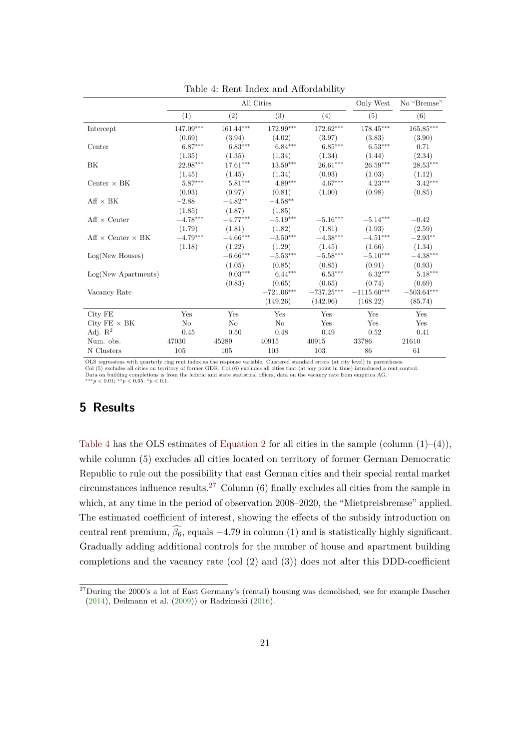<span id="page-21-1"></span>

|                               |                |                         | All Cities             |                         | Only West               | No "Bremse"  |
|-------------------------------|----------------|-------------------------|------------------------|-------------------------|-------------------------|--------------|
|                               | (1)            | (2)                     | (3)                    | (4)                     | (5)                     | (6)          |
| Intercept                     | 147.09***      | $161.44^{\ast\ast\ast}$ | $172.99***$            | $172.62^{\ast\ast\ast}$ | $178.45^{\ast\ast\ast}$ | $165.85***$  |
|                               | (0.69)         | (3.94)                  | (4.02)                 | (3.97)                  | (3.83)                  | (3.90)       |
| Center                        | $6.87***$      | $6.83***$               | $6.84***$              | $6.85***$               | $6.53***$               | 0.71         |
|                               | (1.35)         | (1.35)                  | (1.34)                 | (1.34)                  | (1.44)                  | (2.34)       |
| ΒK                            | 22.98***       | $17.61***$              | $13.59***$             | $26.61***$              | $26.59***$              | $28.53***$   |
|                               | (1.45)         | (1.45)                  | (1.34)                 | (0.93)                  | (1.03)                  | (1.12)       |
| Center $\times$ BK            | $5.87***$      | $5.81***$               | $4.89***$              | $4.67***$               | $4.23***$               | $3.42***$    |
|                               | (0.93)         | (0.97)                  | (0.81)                 | (1.00)                  | (0.98)                  | (0.85)       |
| $Aff \times BK$               | $-2.88$        | $-4.82**$               | $-4.58^{\ast\ast}$     |                         |                         |              |
|                               | (1.85)         | (1.87)                  | (1.85)                 |                         |                         |              |
| $Aff \times Center$           | $-4.78***$     | $-4.77***$              | $-5.19***$             | $-5.16***$              | $-5.14***$              | $-0.42$      |
|                               | (1.79)         | (1.81)                  | (1.82)                 | (1.81)                  | (1.93)                  | (2.59)       |
| $Aff \times Center \times BK$ | $-4.79***$     | $-4.66***$              | $-3.50***$             | $-4.38***$              | $-4.51***$              | $-2.93**$    |
|                               | (1.18)         | (1.22)                  | (1.29)                 | (1.45)                  | (1.66)                  | (1.34)       |
| Log(New Houses)               |                | $-6.66***$              | $-5.53^{\ast\ast\ast}$ | $-5.58^{\ast\ast\ast}$  | $-5.10***$              | $-4.38***$   |
|                               |                | (1.05)                  | (0.85)                 | (0.85)                  | (0.91)                  | (0.93)       |
| $Log(New$ Apartments)         |                | $9.03***$               | $6.44***$              | $6.53***$               | $6.32***$               | $5.18***$    |
|                               |                | (0.83)                  | (0.65)                 | (0.65)                  | (0.74)                  | (0.69)       |
| Vacancy Rate                  |                |                         | $-721.06***$           | $-737.25***$            | $-1115.60***$           | $-503.64***$ |
|                               |                |                         | (149.26)               | (142.96)                | (168.22)                | (85.74)      |
| City FE                       | Yes            | Yes                     | Yes                    | Yes                     | Yes                     | Yes          |
| City $FE \times BK$           | N <sub>o</sub> | No                      | N <sub>o</sub>         | Yes                     | Yes                     | Yes          |
| Adj. $\mathbb{R}^2$           | 0.45           | 0.50                    | 0.48                   | 0.49                    | 0.52                    | 0.41         |
| Num. obs.                     | 47030          | 45289                   | 40915                  | 40915                   | 33786                   | 21610        |
| N Clusters                    | 105            | 105                     | 103                    | 103                     | 86                      | 61           |

Table 4: Rent Index and Affordability

OLS regressions with quarterly ring rent index as the response variable. Clustered standard errors (at city level) in parentheses.<br>Col (5) excludes all cities on territory of former GDR, Col (6) excludes all cities that (a Data on building completions is from the federal and state statistical offices, data on the vacancy rate from empirica AG.

∗∗∗*p <* 0*.*01; ∗∗*p <* 0*.*05; <sup>∗</sup>*p <* 0*.*1.

### <span id="page-21-0"></span>**5 Results**

[Table 4](#page-21-1) has the OLS estimates of [Equation 2](#page-19-1) for all cities in the sample (column  $(1)–(4)$ ), while column  $(5)$  excludes all cities located on territory of former German Democratic Republic to rule out the possibility that east German cities and their special rental market circumstances influence results.<sup>[27](#page-21-2)</sup> Column  $(6)$  finally excludes all cities from the sample in which, at any time in the period of observation 2008–2020, the "Mietpreisbremse" applied. The estimated coefficient of interest, showing the effects of the subsidy introduction on central rent premium,  $\widehat{\beta_6}$ , equals −4.79 in column (1) and is statistically highly significant. Gradually adding additional controls for the number of house and apartment building completions and the vacancy rate (col (2) and (3)) does not alter this DDD-coefficient

<span id="page-21-2"></span> $27$ During the 2000's a lot of East Germany's (rental) housing was demolished, see for example Dascher [\(2014\)](#page-44-11), Deilmann et al. [\(2009\)](#page-44-12)) or Radzimski [\(2016\)](#page-46-10).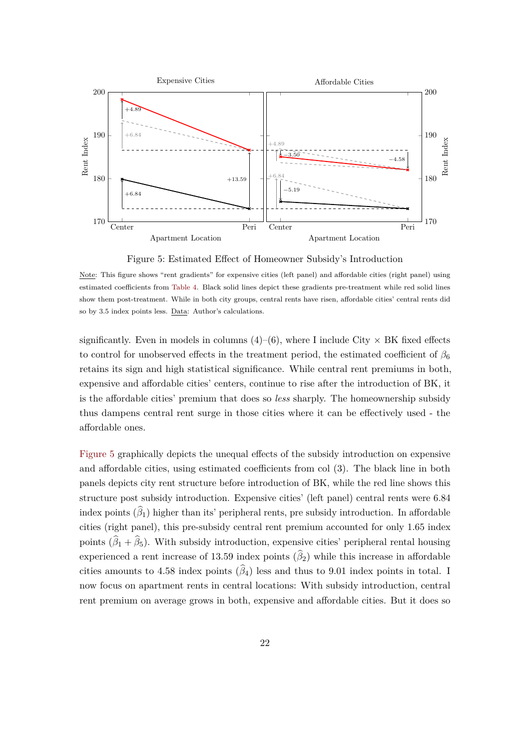<span id="page-22-0"></span>

Figure 5: Estimated Effect of Homeowner Subsidy's Introduction

significantly. Even in models in columns  $(4)-(6)$ , where I include City  $\times$  BK fixed effects to control for unobserved effects in the treatment period, the estimated coefficient of  $\beta_6$ retains its sign and high statistical significance. While central rent premiums in both, expensive and affordable cities' centers, continue to rise after the introduction of BK, it is the affordable cities' premium that does so *less* sharply. The homeownership subsidy thus dampens central rent surge in those cities where it can be effectively used - the affordable ones.

[Figure 5](#page-22-0) graphically depicts the unequal effects of the subsidy introduction on expensive and affordable cities, using estimated coefficients from col (3). The black line in both panels depicts city rent structure before introduction of BK, while the red line shows this structure post subsidy introduction. Expensive cities' (left panel) central rents were 6*.*84 index points  $(\widehat{\beta}_1)$  higher than its' peripheral rents, pre subsidy introduction. In affordable cities (right panel), this pre-subsidy central rent premium accounted for only 1*.*65 index points  $(\widehat{\beta}_1 + \widehat{\beta}_5)$ . With subsidy introduction, expensive cities' peripheral rental housing experienced a rent increase of 13.59 index points  $(\widehat{\beta}_2)$  while this increase in affordable cities amounts to 4.58 index points  $(\widehat{\beta}_4)$  less and thus to 9.01 index points in total. I now focus on apartment rents in central locations: With subsidy introduction, central rent premium on average grows in both, expensive and affordable cities. But it does so

Note: This figure shows "rent gradients" for expensive cities (left panel) and affordable cities (right panel) using estimated coefficients from [Table 4.](#page-21-1) Black solid lines depict these gradients pre-treatment while red solid lines show them post-treatment. While in both city groups, central rents have risen, affordable cities' central rents did so by 3.5 index points less. Data: Author's calculations.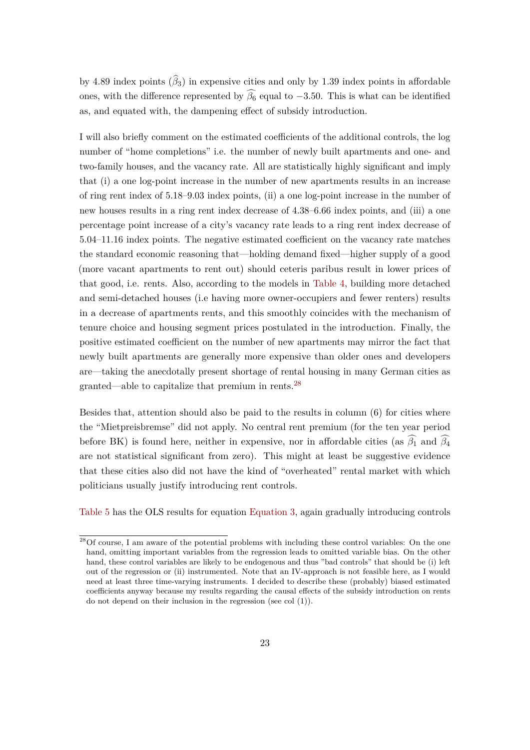by 4.89 index points  $(\widehat{\beta}_3)$  in expensive cities and only by 1.39 index points in affordable ones, with the difference represented by  $\widehat{\beta_6}$  equal to  $-3.50$ . This is what can be identified as, and equated with, the dampening effect of subsidy introduction.

I will also briefly comment on the estimated coefficients of the additional controls, the log number of "home completions" i.e. the number of newly built apartments and one- and two-family houses, and the vacancy rate. All are statistically highly significant and imply that (i) a one log-point increase in the number of new apartments results in an increase of ring rent index of 5*.*18–9*.*03 index points, (ii) a one log-point increase in the number of new houses results in a ring rent index decrease of 4*.*38–6*.*66 index points, and (iii) a one percentage point increase of a city's vacancy rate leads to a ring rent index decrease of 5*.*04–11*.*16 index points. The negative estimated coefficient on the vacancy rate matches the standard economic reasoning that—holding demand fixed—higher supply of a good (more vacant apartments to rent out) should ceteris paribus result in lower prices of that good, i.e. rents. Also, according to the models in [Table 4,](#page-21-1) building more detached and semi-detached houses (i.e having more owner-occupiers and fewer renters) results in a decrease of apartments rents, and this smoothly coincides with the mechanism of tenure choice and housing segment prices postulated in the introduction. Finally, the positive estimated coefficient on the number of new apartments may mirror the fact that newly built apartments are generally more expensive than older ones and developers are—taking the anecdotally present shortage of rental housing in many German cities as granted—able to capitalize that premium in rents.[28](#page-23-0)

Besides that, attention should also be paid to the results in column (6) for cities where the "Mietpreisbremse" did not apply. No central rent premium (for the ten year period before BK) is found here, neither in expensive, nor in affordable cities (as  $\widehat{\beta_1}$  and  $\widehat{\beta_4}$ are not statistical significant from zero). This might at least be suggestive evidence that these cities also did not have the kind of "overheated" rental market with which politicians usually justify introducing rent controls.

[Table 5](#page-24-0) has the OLS results for equation [Equation 3,](#page-20-2) again gradually introducing controls

<span id="page-23-0"></span> $28$ Of course, I am aware of the potential problems with including these control variables: On the one hand, omitting important variables from the regression leads to omitted variable bias. On the other hand, these control variables are likely to be endogenous and thus "bad controls" that should be (i) left out of the regression or (ii) instrumented. Note that an IV-approach is not feasible here, as I would need at least three time-varying instruments. I decided to describe these (probably) biased estimated coefficients anyway because my results regarding the causal effects of the subsidy introduction on rents do not depend on their inclusion in the regression (see col (1)).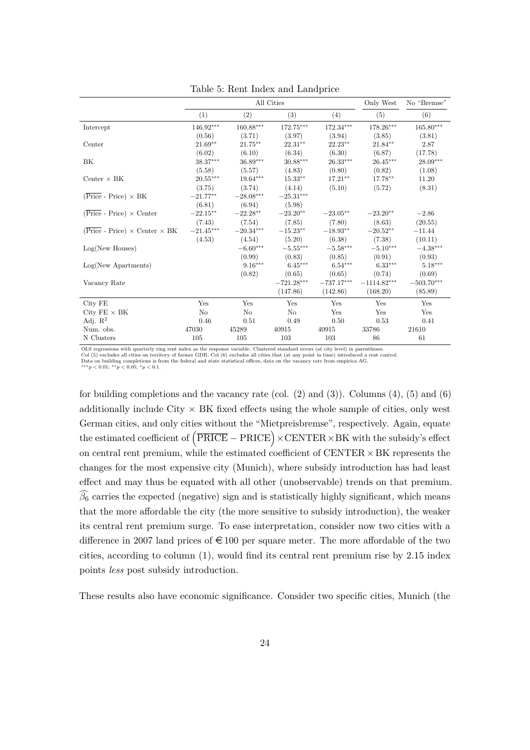<span id="page-24-0"></span>

|                                                             |             |             | All Cities     |                         | Only West     | No "Bremse"             |
|-------------------------------------------------------------|-------------|-------------|----------------|-------------------------|---------------|-------------------------|
|                                                             | (1)         | (2)         | (3)            | (4)                     | (5)           | (6)                     |
| Intercept                                                   | $146.92***$ | $160.88***$ | $172.75***$    | $172.34^{\ast\ast\ast}$ | $178.26***$   | $165.80^{\ast\ast\ast}$ |
|                                                             | (0.56)      | (3.71)      | (3.97)         | (3.94)                  | (3.85)        | (3.81)                  |
| Center                                                      | $21.69**$   | $21.75***$  | $22.31**$      | $22.23***$              | $21.84**$     | 2.87                    |
|                                                             | (6.02)      | (6.10)      | (6.34)         | (6.30)                  | (6.87)        | (17.78)                 |
| BK                                                          | 38.37***    | $36.89***$  | $30.88***$     | $26.33***$              | $26.45***$    | $28.09***$              |
|                                                             | (5.58)      | (5.57)      | (4.83)         | (0.80)                  | (0.82)        | (1.08)                  |
| Center $\times$ BK                                          | $20.55***$  | $19.64***$  | $15.33**$      | $17.21**$               | $17.78**$     | 11.20                   |
|                                                             | (3.75)      | (3.74)      | (4.14)         | (5.10)                  | (5.72)        | (8.31)                  |
| $(\overline{\text{Price}} - \text{Price}) \times \text{BK}$ | $-21.77**$  | $-28.08***$ | $-25.31***$    |                         |               |                         |
|                                                             | (6.81)      | (6.94)      | (5.98)         |                         |               |                         |
| $(Price - Price) \times Center$                             | $-22.15***$ | $-22.28**$  | $-23.20**$     | $-23.05***$             | $-23.20**$    | $-2.86$                 |
|                                                             | (7.43)      | (7.54)      | (7.85)         | (7.80)                  | (8.63)        | (20.55)                 |
| $(Price - Price) \times Center \times BK$                   | $-21.45***$ | $-20.34***$ | $-15.23**$     | $-18.93**$              | $-20.52**$    | $-11.44$                |
|                                                             | (4.53)      | (4.54)      | (5.20)         | (6.38)                  | (7.38)        | (10.11)                 |
| Log(New Houses)                                             |             | $-6.60***$  | $-5.55***$     | $-5.58***$              | $-5.10***$    | $-4.38***$              |
|                                                             |             | (0.99)      | (0.83)         | (0.85)                  | (0.91)        | (0.93)                  |
| $Log(New$ Apartments)                                       |             | $9.16***$   | $6.45***$      | $6.54***$               | $6.33***$     | $5.18***$               |
|                                                             |             | (0.82)      | (0.65)         | (0.65)                  | (0.74)        | (0.69)                  |
| Vacancy Rate                                                |             |             | $-721.28***$   | $-737.17***$            | $-1114.82***$ | $-503.70***$            |
|                                                             |             |             | (147.86)       | (142.86)                | (168.20)      | (85.89)                 |
| City FE                                                     | Yes         | Yes         | Yes            | Yes                     | Yes           | Yes                     |
| City $FE \times BK$                                         | No          | No          | N <sub>o</sub> | Yes                     | Yes           | Yes                     |
| Adj. $R^2$                                                  | 0.46        | 0.51        | 0.49           | 0.50                    | 0.53          | 0.41                    |
| Num. obs.                                                   | 47030       | 45289       | 40915          | 40915                   | 33786         | 21610                   |
| N Clusters                                                  | 105         | 105         | 103            | 103                     | 86            | 61                      |

Table 5: Rent Index and Landprice

OLS regressions with quarterly ring rent index as the response variable. Clustered standard errors (at city level) in parentheses.<br>Col (5) excludes all cities on territory of former GDR, Col (6) excludes all cities that (a Col (5) excludes all cities on territory of former GDR, Col (6) excludes all cities that (at any point in time) introduced a rent control.<br>Data on building completions is from the federal and state statistical offices, dat

∗∗∗*p <* 0*.*01; ∗∗*p <* 0*.*05; <sup>∗</sup>*p <* 0*.*1.

for building completions and the vacancy rate (col.  $(2)$  and  $(3)$ ). Columns  $(4)$ ,  $(5)$  and  $(6)$ additionally include City  $\times$  BK fixed effects using the whole sample of cities, only west German cities, and only cities without the "Mietpreisbremse", respectively. Again, equate the estimated coefficient of  $\left(\overline{\text{PRICE}} - \text{PRICE}\right) \times \text{CENTER} \times \text{BK}$  with the subsidy's effect on central rent premium, while the estimated coefficient of  $CENTER \times BK$  represents the changes for the most expensive city (Munich), where subsidy introduction has had least effect and may thus be equated with all other (unobservable) trends on that premium.  $\hat{\beta}_6$  carries the expected (negative) sign and is statistically highly significant, which means that the more affordable the city (the more sensitive to subsidy introduction), the weaker its central rent premium surge. To ease interpretation, consider now two cities with a difference in 2007 land prices of  $\epsilon$  100 per square meter. The more affordable of the two cities, according to column (1), would find its central rent premium rise by 2*.*15 index points *less* post subsidy introduction.

These results also have economic significance. Consider two specific cities, Munich (the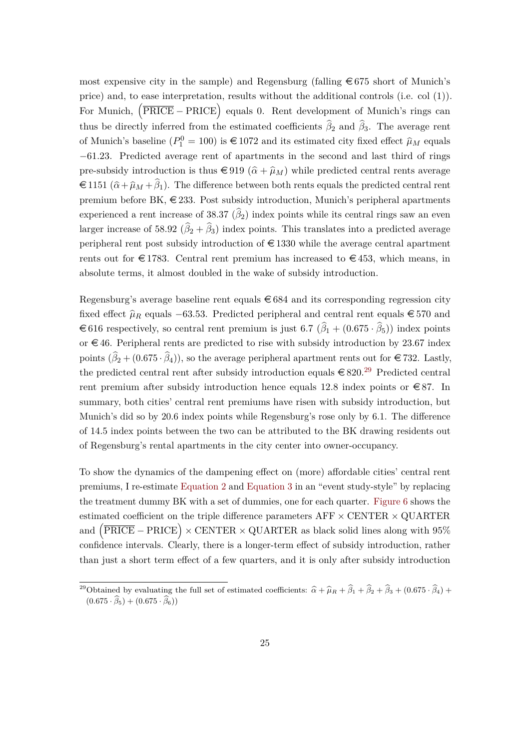most expensive city in the sample) and Regensburg (falling  $\epsilon$  675 short of Munich's price) and, to ease interpretation, results without the additional controls (i.e. col (1)). For Munich,  $(\overline{PRICE} - PRICE)$  equals 0. Rent development of Munich's rings can thus be directly inferred from the estimated coefficients  $\hat{\beta}_2$  and  $\hat{\beta}_3$ . The average rent of Munich's baseline  $(P_1^0 = 100)$  is  $\in$  1072 and its estimated city fixed effect  $\hat{\mu}_M$  equals −61*.*23. Predicted average rent of apartments in the second and last third of rings pre-subsidy introduction is thus  $\in$  919 ( $\hat{\alpha}$  +  $\hat{\mu}_M$ ) while predicted central rents average  $\in$  1151 ( $\hat{\alpha} + \hat{\mu}_M + \hat{\beta}_1$ ). The difference between both rents equals the predicted central rent premium before BK,  $\in$  233. Post subsidy introduction, Munich's peripheral apartments experienced a rent increase of  $38.37$  ( $\beta_2$ ) index points while its central rings saw an even larger increase of 58.92  $(\beta_2 + \beta_3)$  index points. This translates into a predicted average peripheral rent post subsidy introduction of  $\epsilon$  1330 while the average central apartment rents out for  $\epsilon$ 1783. Central rent premium has increased to  $\epsilon$ 453, which means, in absolute terms, it almost doubled in the wake of subsidy introduction.

Regensburg's average baseline rent equals  $\epsilon$  684 and its corresponding regression city fixed effect  $\hat{\mu}_R$  equals −63.53. Predicted peripheral and central rent equals  $\in$  570 and  $\in$  616 respectively, so central rent premium is just 6.7 ( $\beta_1 + (0.675 \cdot \beta_5)$ ) index points or  $\in$  46. Peripheral rents are predicted to rise with subsidy introduction by 23.67 index points  $(\beta_2 + (0.675 \cdot \beta_4))$ , so the average peripheral apartment rents out for  $\in 732$ . Lastly, the predicted central rent after subsidy introduction equals  $\in 820.^{29}$  $\in 820.^{29}$  $\in 820.^{29}$  Predicted central rent premium after subsidy introduction hence equals 12.8 index points or  $\epsilon$ 87. In summary, both cities' central rent premiums have risen with subsidy introduction, but Munich's did so by 20.6 index points while Regensburg's rose only by 6.1. The difference of 14.5 index points between the two can be attributed to the BK drawing residents out of Regensburg's rental apartments in the city center into owner-occupancy.

To show the dynamics of the dampening effect on (more) affordable cities' central rent premiums, I re-estimate [Equation 2](#page-19-1) and [Equation 3](#page-20-2) in an "event study-style" by replacing the treatment dummy BK with a set of dummies, one for each quarter. [Figure 6](#page-26-0) shows the estimated coefficient on the triple difference parameters  $\text{AFF} \times \text{CENTER} \times \text{QUARTER}$ and  $(\overline{\text{PRICE}} - \text{PRICE}) \times \text{CENTER} \times \text{QUARTER}$  as black solid lines along with 95% confidence intervals. Clearly, there is a longer-term effect of subsidy introduction, rather than just a short term effect of a few quarters, and it is only after subsidy introduction

<span id="page-25-0"></span><sup>&</sup>lt;sup>29</sup>Obtained by evaluating the full set of estimated coefficients:  $\hat{\alpha} + \hat{\mu}_R + \hat{\beta}_1 + \hat{\beta}_2 + \hat{\beta}_3 + (0.675 \cdot \hat{\beta}_4) +$  $(0.675 \cdot \hat{\beta}_5) + (0.675 \cdot \hat{\beta}_6))$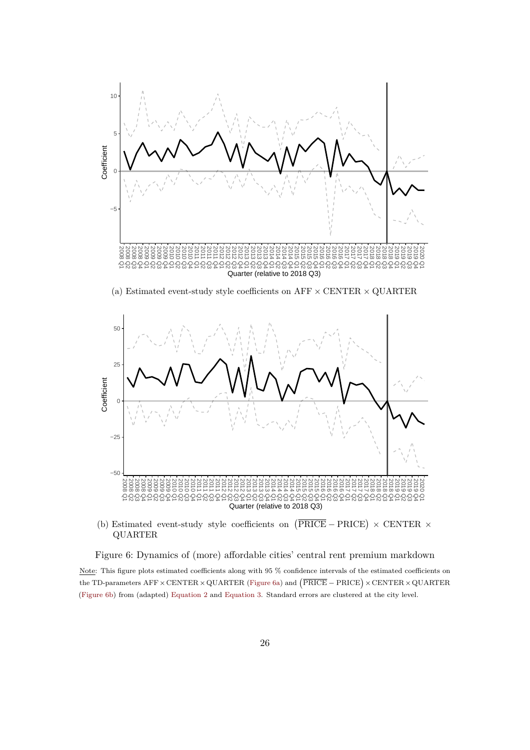<span id="page-26-0"></span>

(b) Estimated event-study style coefficients on  $(PRICE - PRICE) \times CENTER \times$ QUARTER

Figure 6: Dynamics of (more) affordable cities' central rent premium markdown

Note: This figure plots estimated coefficients along with 95 % confidence intervals of the estimated coefficients on the TD-parameters  $\text{AFF} \times \text{CENTER} \times \text{QUARTER}$  [\(Figure 6a\)](#page-26-0) and  $\left(\overline{\text{PRICE}} - \text{PRICE}\right) \times \text{CENTER} \times \text{QUARTER}$ [\(Figure 6b\)](#page-26-0) from (adapted) [Equation 2](#page-19-1) and [Equation 3.](#page-20-2) Standard errors are clustered at the city level.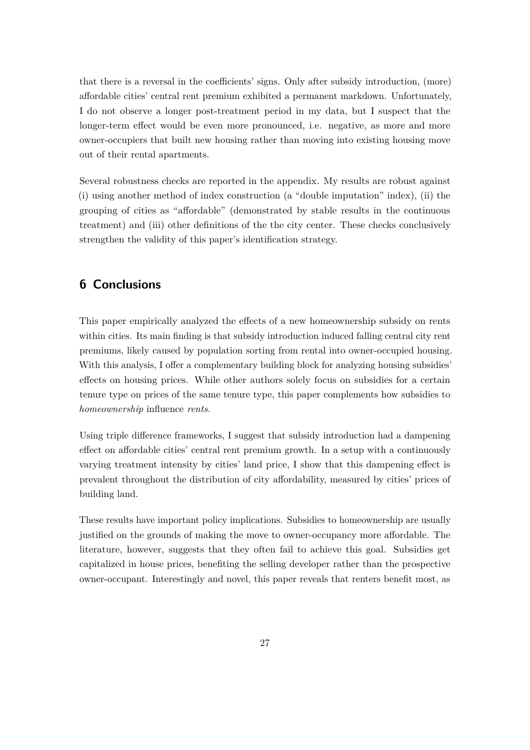that there is a reversal in the coefficients' signs. Only after subsidy introduction, (more) affordable cities' central rent premium exhibited a permanent markdown. Unfortunately, I do not observe a longer post-treatment period in my data, but I suspect that the longer-term effect would be even more pronounced, i.e. negative, as more and more owner-occupiers that built new housing rather than moving into existing housing move out of their rental apartments.

Several robustness checks are reported in the appendix. My results are robust against (i) using another method of index construction (a "double imputation" index), (ii) the grouping of cities as "affordable" (demonstrated by stable results in the continuous treatment) and (iii) other definitions of the the city center. These checks conclusively strengthen the validity of this paper's identification strategy.

### <span id="page-27-0"></span>**6 Conclusions**

This paper empirically analyzed the effects of a new homeownership subsidy on rents within cities. Its main finding is that subsidy introduction induced falling central city rent premiums, likely caused by population sorting from rental into owner-occupied housing. With this analysis, I offer a complementary building block for analyzing housing subsidies' effects on housing prices. While other authors solely focus on subsidies for a certain tenure type on prices of the same tenure type, this paper complements how subsidies to *homeownership* influence *rents*.

Using triple difference frameworks, I suggest that subsidy introduction had a dampening effect on affordable cities' central rent premium growth. In a setup with a continuously varying treatment intensity by cities' land price, I show that this dampening effect is prevalent throughout the distribution of city affordability, measured by cities' prices of building land.

These results have important policy implications. Subsidies to homeownership are usually justified on the grounds of making the move to owner-occupancy more affordable. The literature, however, suggests that they often fail to achieve this goal. Subsidies get capitalized in house prices, benefiting the selling developer rather than the prospective owner-occupant. Interestingly and novel, this paper reveals that renters benefit most, as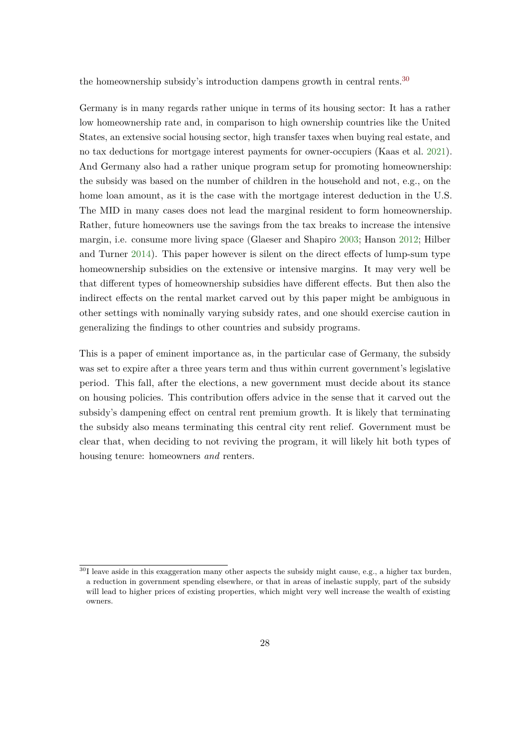the homeownership subsidy's introduction dampens growth in central rents.<sup>[30](#page-28-0)</sup>

Germany is in many regards rather unique in terms of its housing sector: It has a rather low homeownership rate and, in comparison to high ownership countries like the United States, an extensive social housing sector, high transfer taxes when buying real estate, and no tax deductions for mortgage interest payments for owner-occupiers (Kaas et al. [2021\)](#page-45-11). And Germany also had a rather unique program setup for promoting homeownership: the subsidy was based on the number of children in the household and not, e.g., on the home loan amount, as it is the case with the mortgage interest deduction in the U.S. The MID in many cases does not lead the marginal resident to form homeownership. Rather, future homeowners use the savings from the tax breaks to increase the intensive margin, i.e. consume more living space (Glaeser and Shapiro [2003;](#page-45-12) Hanson [2012;](#page-45-13) Hilber and Turner [2014\)](#page-45-2). This paper however is silent on the direct effects of lump-sum type homeownership subsidies on the extensive or intensive margins. It may very well be that different types of homeownership subsidies have different effects. But then also the indirect effects on the rental market carved out by this paper might be ambiguous in other settings with nominally varying subsidy rates, and one should exercise caution in generalizing the findings to other countries and subsidy programs.

This is a paper of eminent importance as, in the particular case of Germany, the subsidy was set to expire after a three years term and thus within current government's legislative period. This fall, after the elections, a new government must decide about its stance on housing policies. This contribution offers advice in the sense that it carved out the subsidy's dampening effect on central rent premium growth. It is likely that terminating the subsidy also means terminating this central city rent relief. Government must be clear that, when deciding to not reviving the program, it will likely hit both types of housing tenure: homeowners *and* renters.

<span id="page-28-0"></span> $30$ I leave aside in this exaggeration many other aspects the subsidy might cause, e.g., a higher tax burden, a reduction in government spending elsewhere, or that in areas of inelastic supply, part of the subsidy will lead to higher prices of existing properties, which might very well increase the wealth of existing owners.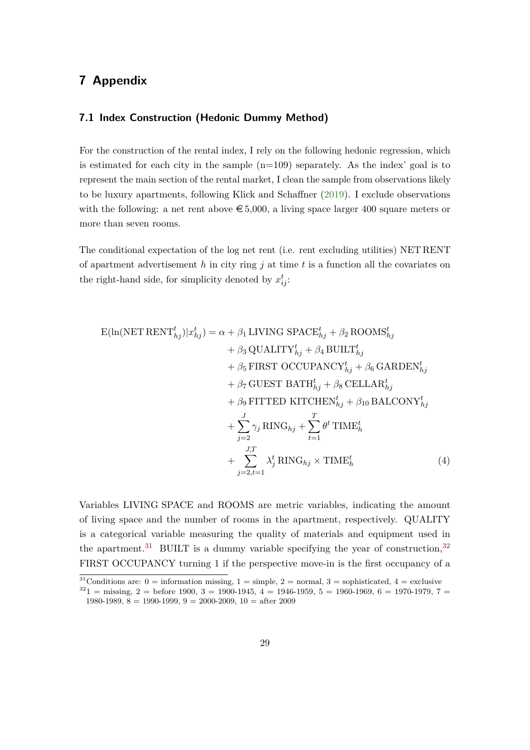### **7 Appendix**

#### **7.1 Index Construction (Hedonic Dummy Method)**

For the construction of the rental index, I rely on the following hedonic regression, which is estimated for each city in the sample  $(n=109)$  separately. As the index' goal is to represent the main section of the rental market, I clean the sample from observations likely to be luxury apartments, following Klick and Schaffner [\(2019\)](#page-46-11). I exclude observations with the following: a net rent above  $\epsilon$  5,000, a living space larger 400 square meters or more than seven rooms.

The conditional expectation of the log net rent (i.e. rent excluding utilities) NET RENT of apartment advertisement *h* in city ring *j* at time *t* is a function all the covariates on the right-hand side, for simplicity denoted by  $x_{ij}^t$ :

<span id="page-29-2"></span>
$$
E(\ln(\text{NET RENT}_{hj}^{t})|x_{hj}^{t}) = \alpha + \beta_1 \text{ LIVING SPACE}_{hj}^{t} + \beta_2 \text{ROOMS}_{hj}^{t}
$$

$$
+ \beta_3 \text{QUALITY}_{hj}^{t} + \beta_4 \text{BULT}_{hj}^{t}
$$

$$
+ \beta_5 \text{ FIRST OCCUPANCY}_{hj}^{t} + \beta_6 \text{GARDEN}_{hj}^{t}
$$

$$
+ \beta_7 \text{GUEST BATH}_{hj}^{t} + \beta_8 \text{CELLAR}_{hj}^{t}
$$

$$
+ \beta_9 \text{FITTED KITCHEN}_{hj}^{t} + \beta_{10} \text{BALCONY}_{hj}^{t}
$$

$$
+ \sum_{j=2}^{J} \gamma_j \text{ RING}_{hj} + \sum_{t=1}^{T} \theta^t \text{TIME}_{h}^{t}
$$

$$
+ \sum_{j=2,t=1}^{J,T} \lambda_j^{t} \text{ RING}_{hj} \times \text{TIME}_{h}^{t}
$$
(4)

Variables LIVING SPACE and ROOMS are metric variables, indicating the amount of living space and the number of rooms in the apartment, respectively. QUALITY is a categorical variable measuring the quality of materials and equipment used in the apartment.<sup>[31](#page-29-0)</sup> BUILT is a dummy variable specifying the year of construction,  $32$ FIRST OCCUPANCY turning 1 if the perspective move-in is the first occupancy of a

<span id="page-29-0"></span> $31$ Conditions are: 0 = information missing, 1 = simple, 2 = normal, 3 = sophisticated, 4 = exclusive

<span id="page-29-1"></span> $3^{32}1$  = missing, 2 = before 1900, 3 = 1900-1945, 4 = 1946-1959, 5 = 1960-1969, 6 = 1970-1979, 7 = 1980-1989,  $8 = 1990-1999$ ,  $9 = 2000-2009$ ,  $10 =$  after 2009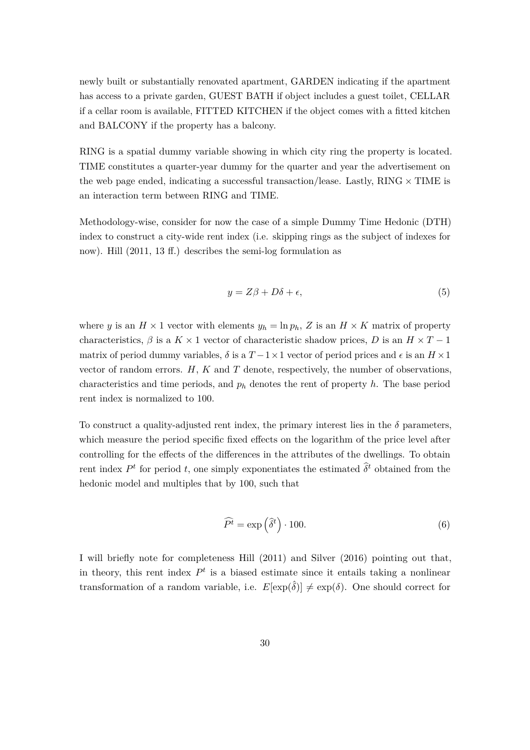newly built or substantially renovated apartment, GARDEN indicating if the apartment has access to a private garden, GUEST BATH if object includes a guest toilet, CELLAR if a cellar room is available, FITTED KITCHEN if the object comes with a fitted kitchen and BALCONY if the property has a balcony.

RING is a spatial dummy variable showing in which city ring the property is located. TIME constitutes a quarter-year dummy for the quarter and year the advertisement on the web page ended, indicating a successful transaction/lease. Lastly, RING  $\times$  TIME is an interaction term between RING and TIME.

Methodology-wise, consider for now the case of a simple Dummy Time Hedonic (DTH) index to construct a city-wide rent index (i.e. skipping rings as the subject of indexes for now). Hill (2011, 13 ff.) describes the semi-log formulation as

$$
y = Z\beta + D\delta + \epsilon,\tag{5}
$$

where *y* is an  $H \times 1$  vector with elements  $y_h = \ln p_h$ , Z is an  $H \times K$  matrix of property characteristics,  $\beta$  is a  $K \times 1$  vector of characteristic shadow prices, *D* is an  $H \times T - 1$ matrix of period dummy variables,  $\delta$  is a  $T-1 \times 1$  vector of period prices and  $\epsilon$  is an  $H \times 1$ vector of random errors. *H*, *K* and *T* denote, respectively, the number of observations, characteristics and time periods, and *p<sup>h</sup>* denotes the rent of property *h*. The base period rent index is normalized to 100.

To construct a quality-adjusted rent index, the primary interest lies in the  $\delta$  parameters, which measure the period specific fixed effects on the logarithm of the price level after controlling for the effects of the differences in the attributes of the dwellings. To obtain rent index  $P<sup>t</sup>$  for period *t*, one simply exponentiates the estimated  $\hat{\delta}^t$  obtained from the hedonic model and multiples that by 100, such that

$$
\widehat{P}^t = \exp\left(\widehat{\delta}^t\right) \cdot 100. \tag{6}
$$

I will briefly note for completeness Hill (2011) and Silver (2016) pointing out that, in theory, this rent index  $P<sup>t</sup>$  is a biased estimate since it entails taking a nonlinear transformation of a random variable, i.e.  $E[\exp(\hat{\delta})] \neq \exp(\delta)$ . One should correct for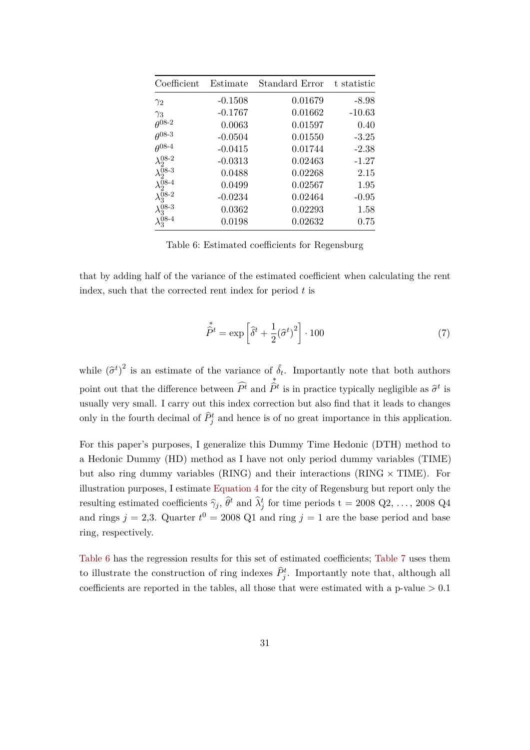<span id="page-31-0"></span>

| Coefficient               | Estimate  | Standard Error | t statistic |
|---------------------------|-----------|----------------|-------------|
| $\gamma_2$                | $-0.1508$ | 0.01679        | $-8.98$     |
| $\gamma_3$                | $-0.1767$ | 0.01662        | $-10.63$    |
| $\theta^{08-2}$           | 0.0063    | 0.01597        | 0.40        |
| $\theta^{08-3}$           | $-0.0504$ | 0.01550        | $-3.25$     |
| $\theta^{08-4}$           | $-0.0415$ | 0.01744        | $-2.38$     |
| $\lambda_2^{08-2}$        | $-0.0313$ | 0.02463        | $-1.27$     |
| $\lambda_2^{08-3}$        | 0.0488    | 0.02268        | 2.15        |
| $\lambda_2^{08-4}$        | 0.0499    | 0.02567        | 1.95        |
| $\lambda_3^{08\text{-}2}$ | $-0.0234$ | 0.02464        | $-0.95$     |
| $\lambda_3^{08-3}$        | 0.0362    | 0.02293        | 1.58        |
| $\lambda_3^{08-4}$        | 0.0198    | 0.02632        | 0.75        |

Table 6: Estimated coefficients for Regensburg

that by adding half of the variance of the estimated coefficient when calculating the rent index, such that the corrected rent index for period *t* is

$$
\hat{\hat{P}}^t = \exp\left[\hat{\delta}^t + \frac{1}{2}(\hat{\sigma}^t)^2\right] \cdot 100\tag{7}
$$

while  $(\hat{\sigma}^t)^2$  is an estimate of the variance of  $\hat{\delta}_t$ . Importantly note that both authors point out that the difference between  $P<sup>t</sup>$  and ∗  $\hat{P}^t$  is in practice typically negligible as  $\hat{\sigma}^t$  is usually very small. I carry out this index correction but also find that it leads to changes only in the fourth decimal of  $\hat{P}^t_j$  and hence is of no great importance in this application.

For this paper's purposes, I generalize this Dummy Time Hedonic (DTH) method to a Hedonic Dummy (HD) method as I have not only period dummy variables (TIME) but also ring dummy variables (RING) and their interactions (RING  $\times$  TIME). For illustration purposes, I estimate [Equation 4](#page-29-2) for the city of Regensburg but report only the resulting estimated coefficients  $\hat{\gamma}_j$ ,  $\hat{\theta}^t$  and  $\hat{\lambda}^t_j$  for time periods t = 2008 Q2, ..., 2008 Q4 and rings  $j = 2,3$ . Quarter  $t^0 = 2008$  Q1 and ring  $j = 1$  are the base period and base ring, respectively.

[Table 6](#page-31-0) has the regression results for this set of estimated coefficients; [Table 7](#page-32-0) uses them to illustrate the construction of ring indexes  $\hat{P}_j^t$ . Importantly note that, although all coefficients are reported in the tables, all those that were estimated with a p-value *>* 0*.*1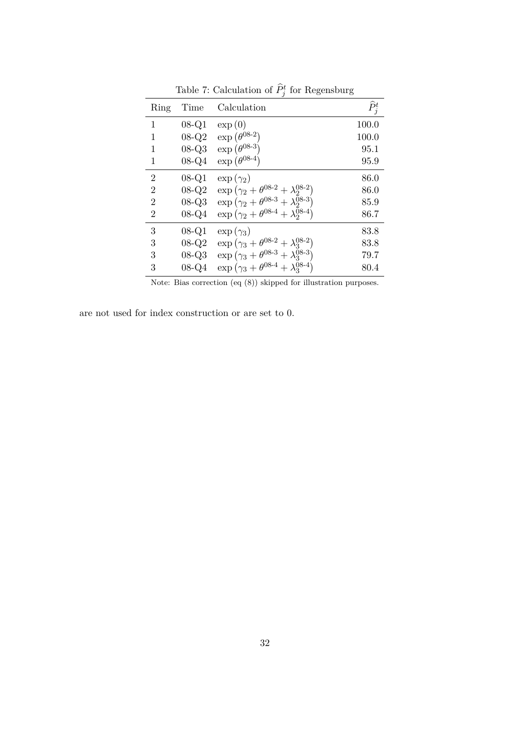<span id="page-32-0"></span>

|                |         | $-0.0$                                                                 |                   |
|----------------|---------|------------------------------------------------------------------------|-------------------|
| Ring           | Time    | Calculation                                                            | $\widehat{P}_j^t$ |
| 1              | 08-Q1   | $\exp(0)$                                                              | 100.0             |
| 1              | $08-Q2$ | $\exp\left(\theta^{08\text{-}2}\right)$                                | 100.0             |
| 1              | $08-Q3$ | $\exp(\theta^{08-3})$                                                  | 95.1              |
| 1              | 08-Q4   | $\exp\left(\theta^{08-4}\right)$                                       | 95.9              |
| $\overline{2}$ | $08-Q1$ | $\exp(\gamma_2)$                                                       | 86.0              |
| 2              | $08-Q2$ | $\exp{(\gamma_2 + \theta^{08-2} + \lambda_2^{08-2})}$                  | 86.0              |
| $\overline{2}$ | $08-Q3$ | $\exp\left( \gamma_2 + \theta^{08-3} + \lambda_2^{\bar{0}8-3} \right)$ | 85.9              |
| $\overline{2}$ | $08-Q4$ | $\exp\left(\gamma_2 + \theta^{08-4} + \lambda_2^{08-4}\right)$         | 86.7              |
| 3              | $08-Q1$ | $\exp(\gamma_3)$                                                       | 83.8              |
| 3              | $08-Q2$ | $\exp{(\gamma_3 + \theta^{08-2} + \lambda_3^{08-2})}$                  | 83.8              |
| 3              | $08-Q3$ | $\exp (\gamma_3 + \theta^{08-3} + \lambda_3^{08-3})$                   | 79.7              |
| 3              | 08-Q4   | $\exp\left(\gamma_3 + \theta^{08-4} + \lambda_3^{08-4}\right)$         | 80.4              |

Table 7: Calculation of  $\hat{P}_j^t$  for Regensburg

Note: Bias correction (eq (8)) skipped for illustration purposes.

are not used for index construction or are set to 0.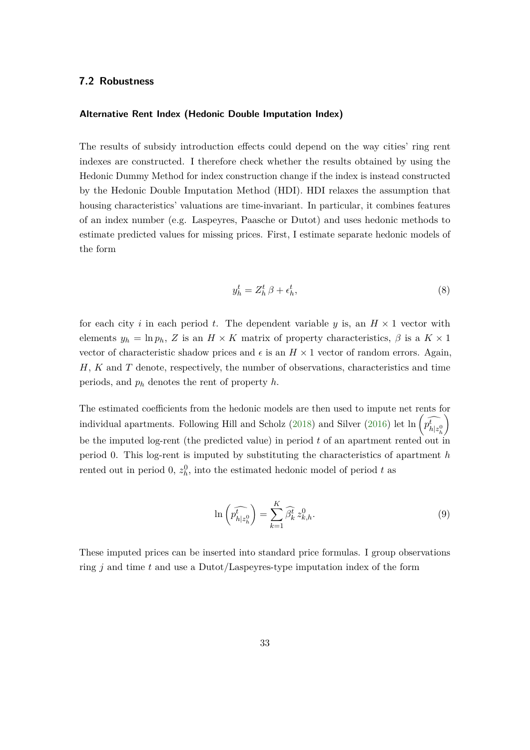#### **7.2 Robustness**

#### **Alternative Rent Index (Hedonic Double Imputation Index)**

The results of subsidy introduction effects could depend on the way cities' ring rent indexes are constructed. I therefore check whether the results obtained by using the Hedonic Dummy Method for index construction change if the index is instead constructed by the Hedonic Double Imputation Method (HDI). HDI relaxes the assumption that housing characteristics' valuations are time-invariant. In particular, it combines features of an index number (e.g. Laspeyres, Paasche or Dutot) and uses hedonic methods to estimate predicted values for missing prices. First, I estimate separate hedonic models of the form

<span id="page-33-0"></span>
$$
y_h^t = Z_h^t \beta + \epsilon_h^t,\tag{8}
$$

for each city *i* in each period *t*. The dependent variable *y* is, an  $H \times 1$  vector with elements  $y_h = \ln p_h$ , *Z* is an  $H \times K$  matrix of property characteristics,  $\beta$  is a  $K \times 1$ vector of characteristic shadow prices and  $\epsilon$  is an  $H \times 1$  vector of random errors. Again, *H*, *K* and *T* denote, respectively, the number of observations, characteristics and time periods, and *p<sup>h</sup>* denotes the rent of property *h*.

The estimated coefficients from the hedonic models are then used to impute net rents for individual apartments. Following Hill and Scholz [\(2018\)](#page-45-14) and Silver [\(2016\)](#page-46-4) let  $\ln \left( \widehat{p_{h|z_h^0}} \right)$  $\setminus$ be the imputed log-rent (the predicted value) in period *t* of an apartment rented out in period 0. This log-rent is imputed by substituting the characteristics of apartment *h* rented out in period 0,  $z_h^0$ , into the estimated hedonic model of period t as

$$
\ln\left(\widehat{p_{h|z_h^0}^t}\right) = \sum_{k=1}^K \widehat{\beta_k^t} \, z_{k,h}^0. \tag{9}
$$

These imputed prices can be inserted into standard price formulas. I group observations ring *j* and time *t* and use a Dutot/Laspeyres-type imputation index of the form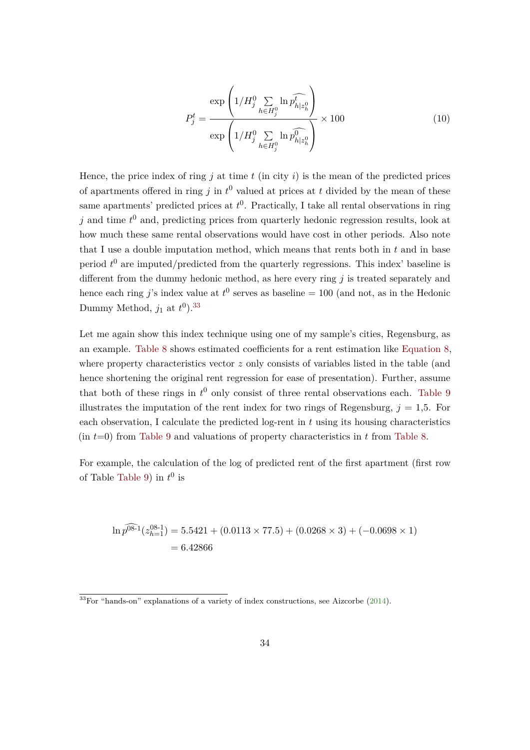$$
P_j^t = \frac{\exp\left(1/H_j^0 \sum_{h \in H_j^0} \ln \widehat{p_{h|z_h^0}^t}\right)}{\exp\left(1/H_j^0 \sum_{h \in H_j^0} \ln \widehat{p_{h|z_h^0}^0}\right)} \times 100
$$
 (10)

Hence, the price index of ring  $j$  at time  $t$  (in city  $i$ ) is the mean of the predicted prices of apartments offered in ring  $j$  in  $t^0$  valued at prices at  $t$  divided by the mean of these same apartments' predicted prices at *t* 0 . Practically, I take all rental observations in ring *j* and time *t* <sup>0</sup> and, predicting prices from quarterly hedonic regression results, look at how much these same rental observations would have cost in other periods. Also note that I use a double imputation method, which means that rents both in *t* and in base period  $t^0$  are imputed/predicted from the quarterly regressions. This index' baseline is different from the dummy hedonic method, as here every ring *j* is treated separately and hence each ring *j*'s index value at  $t^0$  serves as baseline = 100 (and not, as in the Hedonic Dummy Method,  $j_1$  at  $t^0$ ).<sup>[33](#page-34-0)</sup>

Let me again show this index technique using one of my sample's cities, Regensburg, as an example. [Table 8](#page-35-0) shows estimated coefficients for a rent estimation like [Equation 8,](#page-33-0) where property characteristics vector *z* only consists of variables listed in the table (and hence shortening the original rent regression for ease of presentation). Further, assume that both of these rings in  $t^0$  only consist of three rental observations each. [Table 9](#page-35-1) illustrates the imputation of the rent index for two rings of Regensburg,  $j = 1.5$ . For each observation, I calculate the predicted log-rent in *t* using its housing characteristics (in *t*=0) from [Table 9](#page-35-1) and valuations of property characteristics in *t* from [Table 8.](#page-35-0)

For example, the calculation of the log of predicted rent of the first apartment (first row of Table [Table 9\)](#page-35-1) in  $t^0$  is

$$
\ln \widehat{p}^{08-1}(z_{h=1}^{08-1}) = 5.5421 + (0.0113 \times 77.5) + (0.0268 \times 3) + (-0.0698 \times 1)
$$
  
= 6.42866

<span id="page-34-0"></span> $\overline{\text{^{33}For}}$  "hands-on" explanations of a variety of index constructions, see Aizcorbe [\(2014\)](#page-44-13).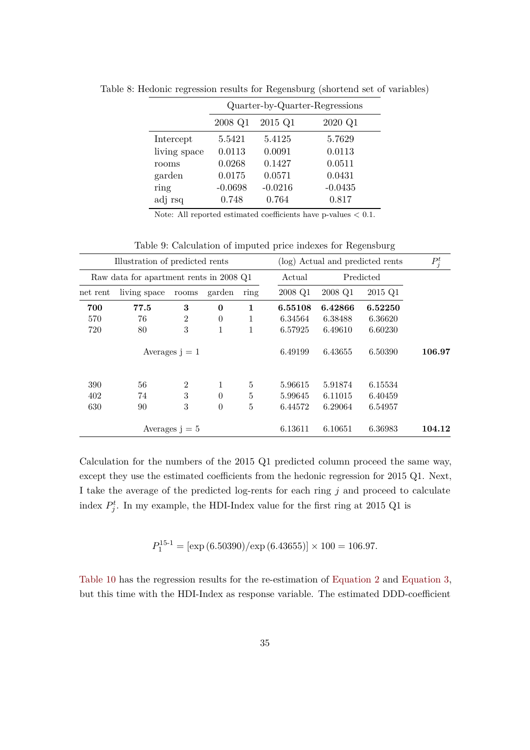|              |           |           | Quarter-by-Quarter-Regressions |
|--------------|-----------|-----------|--------------------------------|
|              | 2008 Q1   | 2015 Q1   | 2020 Q1                        |
| Intercept    | 5.5421    | 5.4125    | 5.7629                         |
| living space | 0.0113    | 0.0091    | 0.0113                         |
| rooms        | 0.0268    | 0.1427    | 0.0511                         |
| garden       | 0.0175    | 0.0571    | 0.0431                         |
| ring         | $-0.0698$ | $-0.0216$ | $-0.0435$                      |
| adj rsq      | 0.748     | 0.764     | 0.817                          |

<span id="page-35-0"></span>Table 8: Hedonic regression results for Regensburg (shortend set of variables)

Note: All reported estimated coefficients have p-values *<* 0.1.

<span id="page-35-1"></span>

|          | Illustration of predicted rents         |                  |              |                |         | (log) Actual and predicted rents |           | $P_j^t$ |
|----------|-----------------------------------------|------------------|--------------|----------------|---------|----------------------------------|-----------|---------|
|          | Raw data for apartment rents in 2008 Q1 |                  |              |                | Actual  |                                  | Predicted |         |
| net rent | living space                            | rooms            | garden       | ring           | 2008 Q1 | 2008 Q1                          | 2015 Q1   |         |
| 700      | 77.5                                    | 3                | $\mathbf{0}$ | $\mathbf{1}$   | 6.55108 | 6.42866                          | 6.52250   |         |
| 570      | 76                                      | $\overline{2}$   | $\theta$     | 1              | 6.34564 | 6.38488                          | 6.36620   |         |
| 720      | 80                                      | 3                | $\mathbf 1$  | 1              | 6.57925 | 6.49610                          | 6.60230   |         |
|          |                                         | Averages $j = 1$ |              |                | 6.49199 | 6.43655                          | 6.50390   | 106.97  |
| 390      | 56                                      | $\overline{2}$   | 1            | 5              | 5.96615 | 5.91874                          | 6.15534   |         |
| 402      | 74                                      | 3                | $\theta$     | $\overline{5}$ | 5.99645 | 6.11015                          | 6.40459   |         |
| 630      | 90                                      | 3                | $\theta$     | $\overline{5}$ | 6.44572 | 6.29064                          | 6.54957   |         |
|          |                                         | Averages $j = 5$ |              |                | 6.13611 | 6.10651                          | 6.36983   | 104.12  |

Table 9: Calculation of imputed price indexes for Regensburg

Calculation for the numbers of the 2015 Q1 predicted column proceed the same way, except they use the estimated coefficients from the hedonic regression for 2015 Q1. Next, I take the average of the predicted log-rents for each ring *j* and proceed to calculate index  $P_j^t$ . In my example, the HDI-Index value for the first ring at 2015 Q1 is

 $P_1^{15-1} = [\exp{(6.50390)}/\exp{(6.43655)}] \times 100 = 106.97.$ 

[Table 10](#page-37-0) has the regression results for the re-estimation of [Equation 2](#page-19-1) and [Equation 3,](#page-20-2) but this time with the HDI-Index as response variable. The estimated DDD-coefficient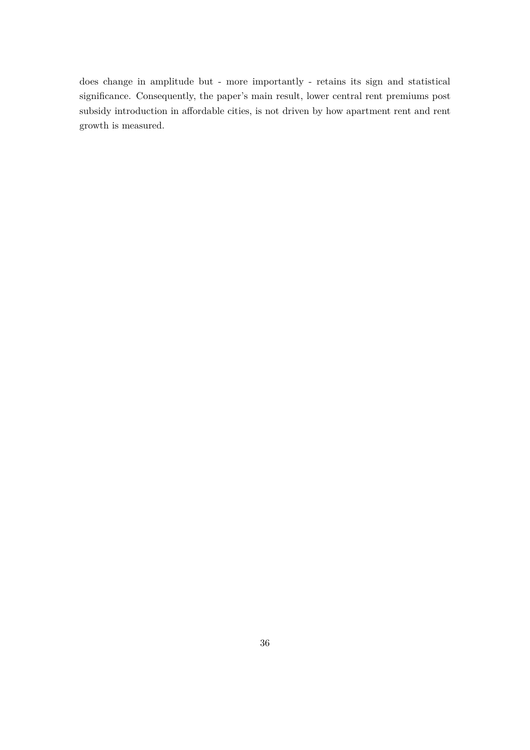does change in amplitude but - more importantly - retains its sign and statistical significance. Consequently, the paper's main result, lower central rent premiums post subsidy introduction in affordable cities, is not driven by how apartment rent and rent growth is measured.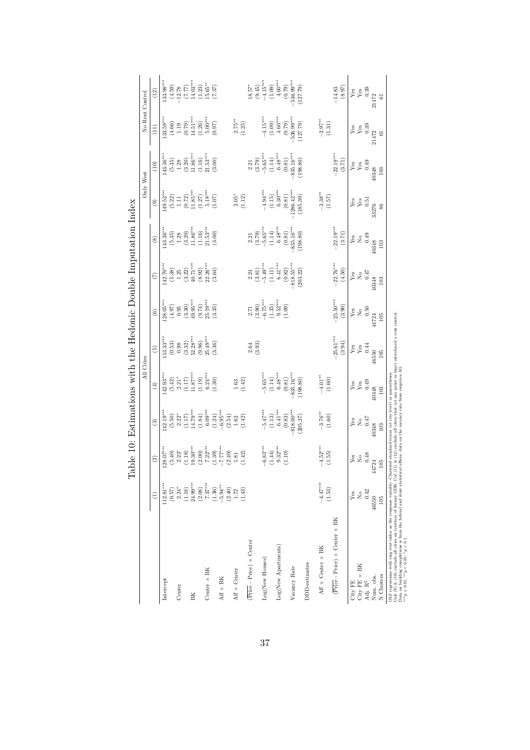<span id="page-37-0"></span>

|                                                            |                                               |                                    |                                       |                   | All Cities           |                             |                                          |                                       |                 | Only West             |                    | No Rent Control      |
|------------------------------------------------------------|-----------------------------------------------|------------------------------------|---------------------------------------|-------------------|----------------------|-----------------------------|------------------------------------------|---------------------------------------|-----------------|-----------------------|--------------------|----------------------|
|                                                            | $\widehat{z}$                                 | $\rm \textcircled{\scriptsize{2}}$ | $\widehat{c}$                         | $\left( 4\right)$ | $\widehat{5}$        | $\widehat{6}$               | $\epsilon$                               | $\widehat{\mathcal{S}}$               | $\circledcirc$  | (10)                  | $\left(11\right)$  | (12)                 |
| Intercept                                                  | $112.81***$                                   | $28.07***$                         | $42.19***$                            | $142.93***$       | $113.33***$          | $.28.05***$                 | $142.70***$                              | $43.36***$                            | $149.52***$     | $143.36***$           | $.33.59***$        | $.33.98***$          |
| Center                                                     | $\begin{array}{c} (0.57) \\ 2.24 \end{array}$ | $2.23*$<br>(5.40)                  | $2.22*$<br>(5.50)                     | $2.21*$<br>(5.42) | (0.53)<br>0.98       | (4.97)<br>0.95              | (5.38)<br>1.25                           | (5.35)<br>$1.28$                      | (5.22)<br>$\Xi$ | (5.35)<br>$1.28$      | (4.66)<br>$1.19\,$ | (4.59)<br>$-12.78$   |
|                                                            |                                               | (1.18)                             | (1.17)                                | (1.17)            | (3.32)               | (3.30)                      | (3.22)                                   | (3.20)                                | (0.72)          | (3.20)                | (0.79)             |                      |
| BK                                                         | $(1.18)$<br>24.99***                          | $19.30***$                         | $14.79***$                            | $11.87***$        | $52.28***$           | $49.95***$                  | $40.71***$                               | $11.86***$                            | $11.85***$      | $11.86***$            | $14.51***$         | $(7.77)$<br>14.03*** |
|                                                            | (2.08)                                        | (2.00)                             | (1.84)                                | (1.19)            | (9.96)               | (9.74)                      | (8.92)                                   | (1.16)                                | (1.27)          | (1.16)                | (1.26)             | $(1.23)$<br>15.65**  |
| Center $\times$ BK                                         | $7.37***$                                     | $7.22***$                          | $6.09***$                             | $6.24***$         | $25.49***$           | $25.19***$                  | $22.26***$                               | $21.53***$                            | $5.18***$       | $21.53***$            | $5.00***$          |                      |
| $AF \times BK$                                             | $-5.94**$<br>(1.36)                           | $7.77***$<br>(1.39)                | $-6.95***$<br>(1.24)                  | (1.30)            | (3.36)               | (3.35)                      | (3.64)                                   | (3.00)                                | (1.07)          | (3.00)                | (0.97)             | (7.37)               |
|                                                            |                                               | (2.49)                             | (2.54)                                |                   |                      |                             |                                          |                                       |                 |                       |                    |                      |
| $\mathrm{Aff}\times\mathrm{Center}$                        | $\begin{array}{c} (2.40) \\ 1.72 \end{array}$ | 1.81                               | $1.62\,$                              | $1.63\,$          |                      |                             |                                          |                                       | $2.05*$         |                       | $2.75***$          |                      |
|                                                            | (1.43)                                        | (1.42)                             | (1.42)                                | (1.42)            |                      |                             |                                          |                                       | (1.12)          |                       | (1.25)             |                      |
| $(\overline{{\rm Price}}$ - ${\rm Price})$ $\times$ Center |                                               |                                    |                                       |                   | 2.64                 | 2.71                        | 2.24                                     | 2.21                                  |                 | 2.21                  |                    | $18.57*$             |
|                                                            |                                               |                                    |                                       |                   | (3.93)               | (3.90)                      | (3.81)                                   | (3.79)                                |                 | (3.79)                |                    | (9.45)               |
| Log(New Houses)                                            |                                               | $-6.83***$                         | $-5.47***$                            | $-5.65***$        |                      | $-6.75***$                  | $-5.49***$                               | $-5.65***$                            | $-4.94***$      | $-5.65***$            | $-4.15***$         | $-4.15***$           |
|                                                            |                                               | $9.32***$<br>(1.44)                | (1.13)                                | (1.14)            |                      | (1.35)                      | (1.11)                                   | (1.14)                                | (1.15)          | (1.14)                | (1.09)             | (1.09)               |
| Log(New Apartments)                                        |                                               |                                    | $6.41***$                             | $6.48***$         |                      | $9.52***$                   | $6.41***$                                | $6.48***$                             | $6.30***$       | $6.48***$             | $4.60***$          | $4.60***$            |
|                                                            |                                               | (1.10)                             | (0.83)                                | (0.81)            |                      | (1.09)                      | (0.82)                                   | (0.81)                                | (0.81)          | (0.81)                | (0.79)             | (0.79)               |
| Vacancy Rate                                               |                                               |                                    | 818.00***                             | 835.16***         |                      |                             | 818.55***                                | 835.16***                             | $-1286.42***$   | 835.16***             | $-536.99***$       | 536.99***            |
|                                                            |                                               |                                    | (205.37)                              | (198.80)          |                      |                             | (203.22)                                 | (198.80)                              | (185.39)        | (198.80)              | (127.79)           | (127.79)             |
| DDD-estimates                                              |                                               |                                    |                                       |                   |                      |                             |                                          |                                       |                 |                       |                    |                      |
| $\mathrm{Aff}\times\mathrm{Center}\times\mathrm{BK}$       | $-4.47***$                                    | $-4.52***$                         | $-3.76**$                             | $-4.01**$         |                      |                             |                                          |                                       | $-3.38***$      |                       | $-2.97***$         |                      |
|                                                            | (1.53)                                        | (1.55)                             | (1.60)                                | (1.60)            |                      |                             |                                          |                                       | (1.57)          |                       | (1.31)             |                      |
| $(Price - Price) \times Center \times BK$                  |                                               |                                    |                                       |                   | $25.61***$<br>(3.94) | $-25.50***$<br>(3.90)       | $22.76***$<br>(4.50)                     | $-22.19***$<br>(3.71)                 |                 | $-22.19***$<br>(3.71) |                    | (8.97)<br>$-14.83$   |
| City FE                                                    | Yes                                           | Yes                                | Yes                                   | Ýes               | Yes                  | Yes                         | Yes                                      | Yes                                   | Ýes             | Yes                   | Ýes                | Yes                  |
| $City$ FE $\times$ BK                                      | $\stackrel{\circ}{\phantom{}_{\sim}}$         | $\rm _{XO}$                        | $\stackrel{\circ}{\phantom{}_{\sim}}$ | Yes               | Yes                  | $\stackrel{\circ}{\approx}$ | $\stackrel{\circ}{\phantom{\mathsf{K}}}$ | $\stackrel{\circ}{\phantom{}_{\sim}}$ | Yes             | Yes                   | Yes                | Yes                  |
| Adj. $\mathbf{R}^2$                                        | 0.42                                          | 0.48                               | 0.47                                  | 0.49              | 0.44                 | 0.50                        | 0.47                                     | 0.49                                  | 0.51            | 0.49                  | 0.39               | 0.39                 |
| Num. obs.                                                  | 46550                                         | 724<br>45                          | 40348                                 | 40348             | 46550                | 44724                       | 40348                                    | 40348                                 | 33276           | 40348                 | 21472              | 21472                |
| N Clusters                                                 | $105\,$                                       | 105                                | $103\,$                               | $103\,$           | $105$                | $105$                       | $103\,$                                  | $103\,$                               | $86\,$          | $103\,$               | 61                 | $\overline{6}$       |

∗∗∗*p <* 0*.*01; ∗∗*p <* 0*.*05; ∗*p <* 0*.*1.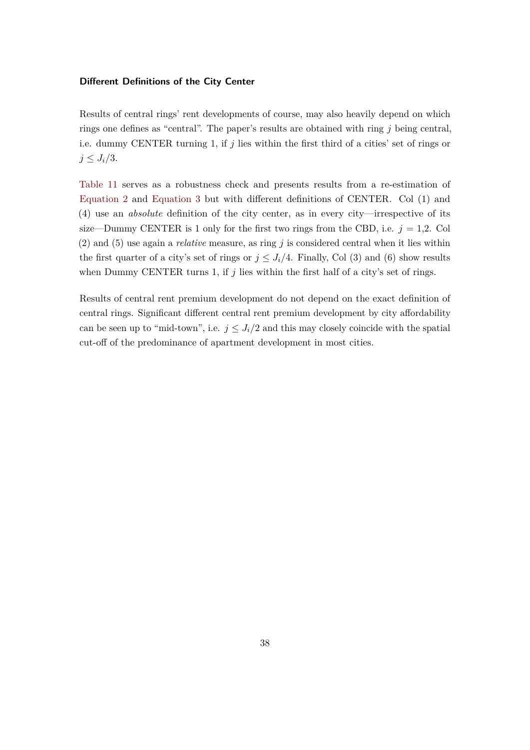#### **Different Definitions of the City Center**

Results of central rings' rent developments of course, may also heavily depend on which rings one defines as "central". The paper's results are obtained with ring *j* being central, i.e. dummy CENTER turning 1, if *j* lies within the first third of a cities' set of rings or  $j \leq J_i/3$ .

[Table 11](#page-39-0) serves as a robustness check and presents results from a re-estimation of [Equation 2](#page-19-1) and [Equation 3](#page-20-2) but with different definitions of CENTER. Col (1) and (4) use an *absolute* definition of the city center, as in every city—irrespective of its size—Dummy CENTER is 1 only for the first two rings from the CBD, i.e.  $j = 1,2$ . Col (2) and (5) use again a *relative* measure, as ring *j* is considered central when it lies within the first quarter of a city's set of rings or  $j \leq J_i/4$ . Finally, Col (3) and (6) show results when Dummy CENTER turns 1, if *j* lies within the first half of a city's set of rings.

Results of central rent premium development do not depend on the exact definition of central rings. Significant different central rent premium development by city affordability can be seen up to "mid-town", i.e.  $j \leq J_i/2$  and this may closely coincide with the spatial cut-off of the predominance of apartment development in most cities.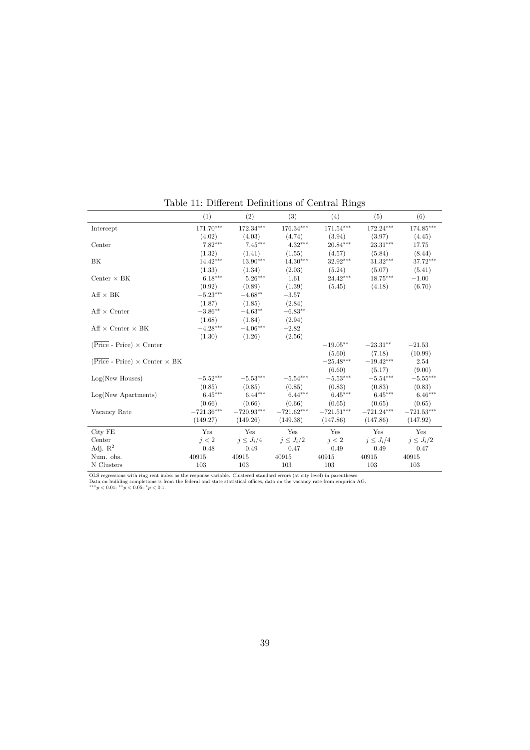<span id="page-39-0"></span>

|                                                                 | (1)          | (2)            | (3)            | (4)                     | (5)            | (6)            |
|-----------------------------------------------------------------|--------------|----------------|----------------|-------------------------|----------------|----------------|
| Intercept                                                       | 171.70***    | 172.34***      | 176.34***      | $171.54^{\ast\ast\ast}$ | 172.24***      | 174.85***      |
|                                                                 | (4.02)       | (4.03)         | (4.74)         | (3.94)                  | (3.97)         | (4.45)         |
| Center                                                          | $7.82***$    | $7.45***$      | $4.32***$      | $20.84***$              | $23.31***$     | 17.75          |
|                                                                 | (1.32)       | (1.41)         | (1.55)         | (4.57)                  | (5.84)         | (8.44)         |
| BK                                                              | $14.42***$   | $13.90***$     | $14.30***$     | 32.92***                | $31.32***$     | 37.72***       |
|                                                                 | (1.33)       | (1.34)         | (2.03)         | (5.24)                  | (5.07)         | (5.41)         |
| Center $\times$ BK                                              | $6.18***$    | $5.26***$      | 1.61           | $24.42***$              | 18.75***       | $-1.00$        |
|                                                                 | (0.92)       | (0.89)         | (1.39)         | (5.45)                  | (4.18)         | (6.70)         |
| $Aff \times BK$                                                 | $-5.23***$   | $-4.68**$      | $-3.57$        |                         |                |                |
|                                                                 | (1.87)       | (1.85)         | (2.84)         |                         |                |                |
| $Aff \times Center$                                             | $-3.86**$    | $-4.63**$      | $-6.83**$      |                         |                |                |
|                                                                 | (1.68)       | (1.84)         | (2.94)         |                         |                |                |
| $Aff \times Center \times BK$                                   | $-4.28***$   | $-4.06***$     | $-2.82$        |                         |                |                |
|                                                                 | (1.30)       | (1.26)         | (2.56)         |                         |                |                |
| $(\overline{\text{Price}} - \text{Price}) \times \text{Center}$ |              |                |                | $-19.05**$              | $-23.31**$     | $-21.53$       |
|                                                                 |              |                |                | (5.60)                  | (7.18)         | (10.99)        |
| $(Price - Price) \times Center \times BK$                       |              |                |                | $-25.48***$             | $-19.42***$    | 2.54           |
|                                                                 |              |                |                | (6.60)                  | (5.17)         | (9.00)         |
| Log(New Houses)                                                 | $-5.52***$   | $-5.53***$     | $-5.54***$     | $-5.53***$              | $-5.54***$     | $-5.55***$     |
|                                                                 | (0.85)       | (0.85)         | (0.85)         | (0.83)                  | (0.83)         | (0.83)         |
| $Log(New$ Apartments)                                           | $6.45***$    | $6.44***$      | $6.44***$      | $6.45***$               | $6.45***$      | $6.46***$      |
|                                                                 | (0.66)       | (0.66)         | (0.66)         | (0.65)                  | (0.65)         | (0.65)         |
| Vacancy Rate                                                    | $-721.36***$ | $-720.93***$   | $-721.62***$   | $-721.51***$            | $-721.24***$   | $-721.53***$   |
|                                                                 | (149.27)     | (149.26)       | (149.38)       | (147.86)                | (147.86)       | (147.92)       |
| City FE                                                         | Yes          | Yes            | Yes            | Yes                     | Yes            | Yes            |
| Center                                                          | i < 2        | $j \leq J_i/4$ | $j \leq J_i/2$ | j < 2                   | $j \leq J_i/4$ | $j \leq J_i/2$ |
| Adj. $\mathbb{R}^2$                                             | 0.48         | 0.49           | 0.47           | 0.49                    | 0.49           | 0.47           |
| Num. obs.                                                       | 40915        | 40915          | 40915          | 40915                   | 40915          | 40915          |
| N Clusters                                                      | 103          | 103            | 103            | 103                     | 103            | 103            |

Table 11: Different Definitions of Central Rings

OLS regressions with ring rent index as the response variable. Clustered standard errors (at city level) in parentheses.<br>Data on building completions is from the federal and state statistical offices, data on the vacancy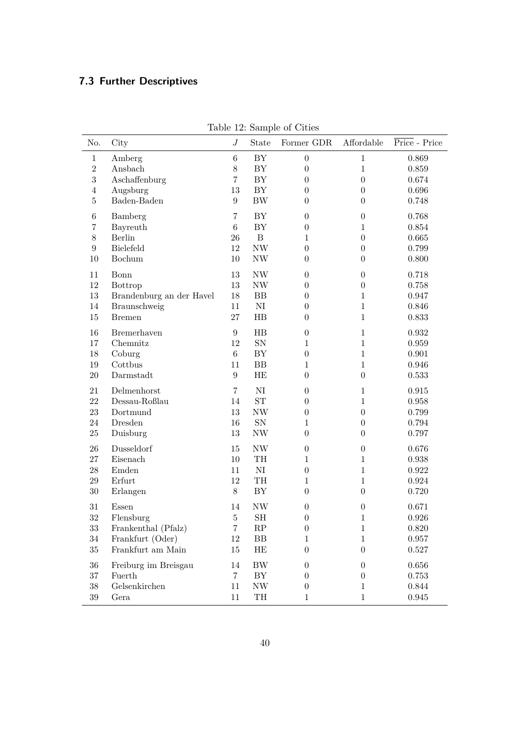## **7.3 Further Descriptives**

| No.            | City                     | J                | State                    | rable 12. Dailiple of Cities<br>Former GDR | Affordable       | Price - Price |
|----------------|--------------------------|------------------|--------------------------|--------------------------------------------|------------------|---------------|
| $\mathbf{1}$   | Amberg                   | $\,6$            | BY                       | $\boldsymbol{0}$                           | $\mathbf{1}$     | 0.869         |
| $\overline{2}$ | Ansbach                  | 8                | ${\rm BY}$               | $\boldsymbol{0}$                           | $\mathbf{1}$     | 0.859         |
| 3              | Aschaffenburg            | $\overline{7}$   | BY                       | $\boldsymbol{0}$                           | $\overline{0}$   | 0.674         |
| $\overline{4}$ | Augsburg                 | 13               | ${\rm BY}$               | $\overline{0}$                             | $\boldsymbol{0}$ | $\,0.696\,$   |
| 5              | Baden-Baden              | $\boldsymbol{9}$ | $\rm BW$                 | $\theta$                                   | $\overline{0}$   | 0.748         |
| $\,6$          | Bamberg                  | $\overline{7}$   | ${\rm BY}$               | $\boldsymbol{0}$                           | $\boldsymbol{0}$ | 0.768         |
| $\overline{7}$ | Bayreuth                 | $\,6\,$          | ${\rm BY}$               | $\boldsymbol{0}$                           | $\mathbf{1}$     | 0.854         |
| $8\,$          | Berlin                   | 26               | $\, {\bf B}$             | $\mathbf{1}$                               | $\boldsymbol{0}$ | $\,0.665\,$   |
| 9              | Bielefeld                | 12               | $\ensuremath{\text{NW}}$ | $\boldsymbol{0}$                           | $\boldsymbol{0}$ | 0.799         |
| 10             | Bochum                   | 10               | $\ensuremath{\text{NW}}$ | $\boldsymbol{0}$                           | $\boldsymbol{0}$ | 0.800         |
| 11             | Bonn                     | 13               | $\ensuremath{\text{NW}}$ | $\boldsymbol{0}$                           | $\boldsymbol{0}$ | 0.718         |
| 12             | Bottrop                  | $13\,$           | $\ensuremath{\text{NW}}$ | $\boldsymbol{0}$                           | $\boldsymbol{0}$ | 0.758         |
| 13             | Brandenburg an der Havel | $18\,$           | BB                       | $\boldsymbol{0}$                           | $\mathbf{1}$     | $0.947\,$     |
| 14             | Braunschweig             | 11               | $\rm NI$                 | $\boldsymbol{0}$                           | $\mathbf{1}$     | 0.846         |
| 15             | <b>Bremen</b>            | 27               | $_{\rm HB}$              | $\theta$                                   | $\mathbf{1}$     | 0.833         |
| 16             | Bremerhaven              | $\boldsymbol{9}$ | $_{\rm HB}$              | $\boldsymbol{0}$                           | $\mathbf{1}$     | 0.932         |
| 17             | Chemnitz                 | 12               | ${\rm SN}$               | $\mathbf{1}$                               | $\mathbf{1}$     | 0.959         |
| $18\,$         | Coburg                   | $\,6\,$          | ${\rm BY}$               | $\boldsymbol{0}$                           | $\mathbf{1}$     | 0.901         |
| 19             | Cottbus                  | 11               | ${\rm BB}$               | $\mathbf{1}$                               | $\mathbf{1}$     | 0.946         |
| $20\,$         | Darmstadt                | $\boldsymbol{9}$ | HE                       | $\boldsymbol{0}$                           | $\overline{0}$   | 0.533         |
| 21             | $De$ lmenhorst           | $\overline{7}$   | $\rm NI$                 | $\boldsymbol{0}$                           | $\mathbf{1}$     | $\,0.915\,$   |
| 22             | Dessau-Roßlau            | 14               | ${\rm ST}$               | $\boldsymbol{0}$                           | $\mathbf{1}$     | $\,0.958\,$   |
| 23             | Dortmund                 | 13               | $\ensuremath{\text{NW}}$ | $\boldsymbol{0}$                           | $\boldsymbol{0}$ | 0.799         |
| 24             | Dresden                  | 16               | ${\rm SN}$               | $\mathbf{1}$                               | $\boldsymbol{0}$ | 0.794         |
| 25             | Duisburg                 | $13\,$           | $\ensuremath{\text{NW}}$ | $\boldsymbol{0}$                           | $\boldsymbol{0}$ | 0.797         |
| $26\,$         | Dusseldorf               | 15               | $\ensuremath{\text{NW}}$ | $\boldsymbol{0}$                           | $\boldsymbol{0}$ | 0.676         |
| 27             | Eisenach                 | 10               | TH                       | $\mathbf{1}$                               | $\mathbf{1}$     | 0.938         |
| $28\,$         | Emden                    | 11               | $\rm NI$                 | $\boldsymbol{0}$                           | $\mathbf{1}$     | 0.922         |
| 29             | Erfurt                   | 12               | TH                       | $\mathbf{1}$                               | $\mathbf{1}$     | $\,0.924\,$   |
| $30\,$         | Erlangen                 | $8\,$            | BY                       | $\boldsymbol{0}$                           | $\boldsymbol{0}$ | 0.720         |
| 31             | Essen                    | 14               | NW                       | $\boldsymbol{0}$                           | $\boldsymbol{0}$ | 0.671         |
| 32             | Flensburg                | $\bf 5$          | SH                       | $\boldsymbol{0}$                           | $\mathbf{1}$     | 0.926         |
| $33\,$         | Frankenthal (Pfalz)      | $\overline{7}$   | ${\rm RP}$               | $\boldsymbol{0}$                           | $\mathbf{1}$     | 0.820         |
| $34\,$         | Frankfurt (Oder)         | $12\,$           | BB                       | 1                                          | $\mathbf{1}$     | 0.957         |
| $35\,$         | Frankfurt am Main        | $15\,$           | $\rm HE$                 | $\boldsymbol{0}$                           | $\boldsymbol{0}$ | $0.527\,$     |
| $36\,$         | Freiburg im Breisgau     | 14               | ${\rm BW}$               | $\overline{0}$                             | $\boldsymbol{0}$ | $0.656\,$     |
| $37\,$         | Fuerth                   | $\overline{7}$   | BY                       | $\overline{0}$                             | $\boldsymbol{0}$ | 0.753         |
| $38\,$         | Gelsenkirchen            | 11               | NW                       | $\boldsymbol{0}$                           | 1                | 0.844         |
| $39\,$         | Gera                     | $11\,$           | TH                       | $\mathbf{1}$                               | $\mathbf{1}$     | $\,0.945\,$   |

Table 12: Sample of Cities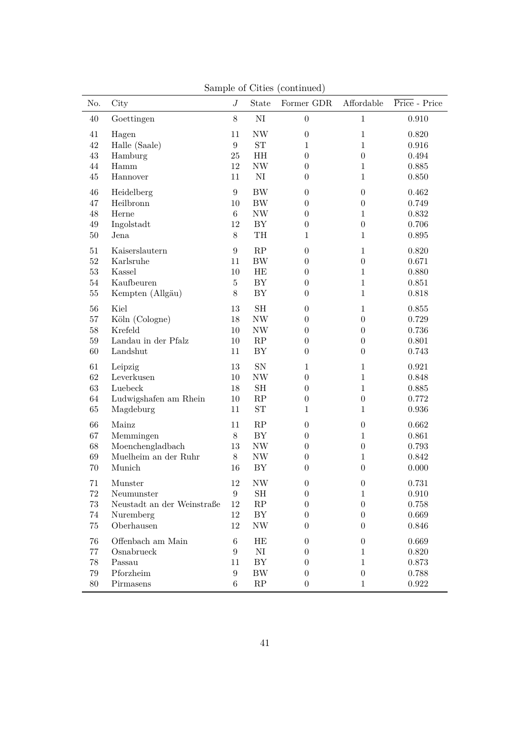| No.    | City                       | $J_{\rm}$        | State                    | Former GDR       | Affordable       | Price - Price |
|--------|----------------------------|------------------|--------------------------|------------------|------------------|---------------|
| 40     | Goettingen                 | $8\,$            | $\rm NI$                 | $\boldsymbol{0}$ | $\mathbf{1}$     | 0.910         |
| 41     | Hagen                      | 11               | $\ensuremath{\text{NW}}$ | $\boldsymbol{0}$ | $\mathbf{1}$     | 0.820         |
| 42     | Halle (Saale)              | $9\phantom{.0}$  | ${\rm ST}$               | $\mathbf{1}$     | $\mathbf{1}$     | 0.916         |
| $43\,$ | Hamburg                    | 25               | HH                       | $\boldsymbol{0}$ | $\boldsymbol{0}$ | 0.494         |
| 44     | Hamm                       | 12               | $\ensuremath{\text{NW}}$ | $\boldsymbol{0}$ | $\mathbf{1}$     | 0.885         |
| $45\,$ | Hannover                   | 11               | $\rm NI$                 | $\boldsymbol{0}$ | $\mathbf{1}$     | 0.850         |
| 46     | Heidelberg                 | $\boldsymbol{9}$ | BW                       | $\boldsymbol{0}$ | $\boldsymbol{0}$ | 0.462         |
| 47     | Heilbronn                  | 10               | $\rm BW$                 | $\boldsymbol{0}$ | $\boldsymbol{0}$ | 0.749         |
| 48     | Herne                      | $\,6\,$          | $\ensuremath{\text{NW}}$ | $\boldsymbol{0}$ | $\mathbf{1}$     | 0.832         |
| $49\,$ | Ingolstadt                 | 12               | ${\rm BY}$               | $\boldsymbol{0}$ | $\boldsymbol{0}$ | 0.706         |
| $50\,$ | Jena                       | $8\,$            | $\operatorname{TH}$      | $\mathbf{1}$     | $\mathbf{1}$     | 0.895         |
| 51     | Kaiserslautern             | $9\phantom{.}$   | $\mathbf{RP}$            | $\boldsymbol{0}$ | $\mathbf{1}$     | 0.820         |
| $52\,$ | Karlsruhe                  | 11               | ${\rm BW}$               | $\boldsymbol{0}$ | $\boldsymbol{0}$ | 0.671         |
| $53\,$ | Kassel                     | 10               | HE                       | $\boldsymbol{0}$ | $\mathbf{1}$     | 0.880         |
| $54\,$ | Kaufbeuren                 | $\overline{5}$   | ${\rm BY}$               | $\boldsymbol{0}$ | $\mathbf{1}$     | 0.851         |
| $55\,$ | Kempten (Allgäu)           | $8\,$            | BY                       | $\boldsymbol{0}$ | $\mathbf{1}$     | 0.818         |
| 56     | Kiel                       | 13               | $\operatorname{SH}$      | $\boldsymbol{0}$ | $\mathbf{1}$     | 0.855         |
| $57\,$ | Köln (Cologne)             | 18               | $\ensuremath{\text{NW}}$ | $\boldsymbol{0}$ | $\boldsymbol{0}$ | 0.729         |
| $58\,$ | Krefeld                    | 10               | $\ensuremath{\text{NW}}$ | $\boldsymbol{0}$ | $\boldsymbol{0}$ | 0.736         |
| $59\,$ | Landau in der Pfalz        | 10               | $\mathbf{RP}$            | $\boldsymbol{0}$ | $\boldsymbol{0}$ | 0.801         |
| 60     | Landshut                   | 11               | BY                       | $\boldsymbol{0}$ | $\boldsymbol{0}$ | 0.743         |
| 61     | Leipzig                    | 13               | ${\rm SN}$               | 1                | $\mathbf{1}$     | 0.921         |
| 62     | Leverkusen                 | 10               | $\ensuremath{\text{NW}}$ | $\boldsymbol{0}$ | $\mathbf{1}$     | 0.848         |
| $63\,$ | Luebeck                    | 18               | $\operatorname{SH}$      | $\boldsymbol{0}$ | $\mathbf{1}$     | 0.885         |
| $64\,$ | Ludwigshafen am Rhein      | 10               | $\mathbf{RP}$            | $\boldsymbol{0}$ | $\boldsymbol{0}$ | 0.772         |
| $65\,$ | Magdeburg                  | 11               | ${\rm ST}$               | $\mathbf{1}$     | $\mathbf{1}$     | 0.936         |
| 66     | Mainz                      | 11               | RP                       | $\boldsymbol{0}$ | $\boldsymbol{0}$ | 0.662         |
| 67     | Memmingen                  | $8\,$            | BY                       | $\boldsymbol{0}$ | $\mathbf{1}$     | 0.861         |
| 68     | Moenchengladbach           | 13               | $\ensuremath{\text{NW}}$ | $\boldsymbol{0}$ | $\boldsymbol{0}$ | 0.793         |
| 69     | Muelheim an der Ruhr       | $8\,$            | $\ensuremath{\text{NW}}$ | $\boldsymbol{0}$ | $\mathbf{1}$     | 0.842         |
| 70     | Munich                     | 16               | ${\rm BY}$               | $\boldsymbol{0}$ | $\theta$         | 0.000         |
| 71     | Munster                    | 12               | NW                       | $\boldsymbol{0}$ | $\boldsymbol{0}$ | 0.731         |
| 72     | Neumunster                 | 9                | SН                       | $\theta$         | 1                | 0.910         |
| $73\,$ | Neustadt an der Weinstraße | 12               | RP                       | $\theta$         | $\boldsymbol{0}$ | 0.758         |
| 74     | Nuremberg                  | 12               | BY                       | $\boldsymbol{0}$ | $\theta$         | 0.669         |
| $75\,$ | Oberhausen                 | 12               | $\ensuremath{\text{NW}}$ | $\boldsymbol{0}$ | $\theta$         | 0.846         |
| 76     | Offenbach am Main          | $\,6\,$          | HE                       | $\boldsymbol{0}$ | $\overline{0}$   | 0.669         |
| 77     | Osnabrueck                 | 9                | NI                       | $\overline{0}$   | 1                | 0.820         |
| $78\,$ | Passau                     | 11               | BY                       | $\overline{0}$   | $\mathbf{1}$     | 0.873         |
| $79\,$ | Pforzheim                  | $\boldsymbol{9}$ | BW                       | $\overline{0}$   | $\boldsymbol{0}$ | 0.788         |
| $80\,$ | Pirmasens                  | 6                | RP                       | $\boldsymbol{0}$ | $\mathbf{1}$     | 0.922         |

Sample of Cities (continued)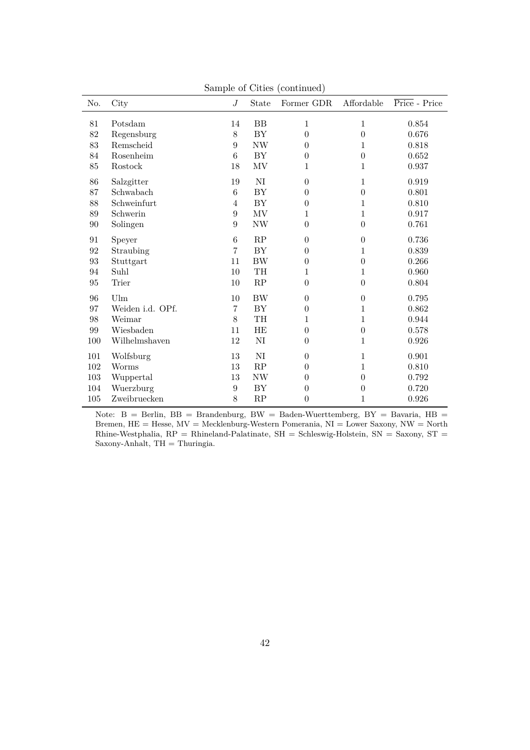| No.     | City             | $J_{\cdot}$    | State                           | Former GDR       | Affordable       | Price - Price |
|---------|------------------|----------------|---------------------------------|------------------|------------------|---------------|
| 81      | Potsdam          | 14             | $\rm BB$                        | 1                | $\mathbf 1$      | 0.854         |
| 82      | Regensburg       | $8\,$          | ${\rm BY}$                      | $\boldsymbol{0}$ | $\overline{0}$   | 0.676         |
| 83      | Remscheid        | 9              | $\ensuremath{\text{NW}}$        | $\boldsymbol{0}$ | 1                | 0.818         |
| 84      | Rosenheim        | 6              | BY                              | $\boldsymbol{0}$ | $\overline{0}$   | 0.652         |
| $85\,$  | Rostock          | 18             | MV                              | 1                | 1                | 0.937         |
|         |                  |                |                                 |                  |                  |               |
| 86      | Salzgitter       | 19             | NI                              | $\boldsymbol{0}$ | $\mathbf 1$      | 0.919         |
| 87      | Schwabach        | 6              | BY                              | $\boldsymbol{0}$ | $\overline{0}$   | 0.801         |
| 88      | Schweinfurt      | 4              | ${\rm BY}$                      | $\boldsymbol{0}$ | 1                | 0.810         |
| 89      | Schwerin         | 9              | $\ensuremath{\text{MV}}\xspace$ | 1                | 1                | 0.917         |
| 90      | Solingen         | 9              | $\ensuremath{\text{NW}}$        | $\boldsymbol{0}$ | $\overline{0}$   | 0.761         |
| 91      | Speyer           | $\,6\,$        | RP                              | $\boldsymbol{0}$ | $\boldsymbol{0}$ | 0.736         |
| 92      | Straubing        | $\overline{7}$ | ${\rm BY}$                      | $\boldsymbol{0}$ | $\mathbf 1$      | 0.839         |
| 93      | Stuttgart        | 11             | <b>BW</b>                       | $\boldsymbol{0}$ | $\overline{0}$   | 0.266         |
| 94      | Suhl             | 10             | TH                              | 1                | 1                | 0.960         |
| 95      | Trier            | 10             | $\mathbf{RP}$                   | $\boldsymbol{0}$ | $\overline{0}$   | 0.804         |
| 96      | Ulm              | 10             | <b>BW</b>                       | $\boldsymbol{0}$ | $\overline{0}$   | 0.795         |
| 97      | Weiden i.d. OPf. | $\overline{7}$ | ${\rm BY}$                      | $\boldsymbol{0}$ | $\mathbf 1$      | 0.862         |
| 98      | Weimar           | 8              | TH                              | 1                | 1                | 0.944         |
| $99\,$  | Wiesbaden        | 11             | HE                              | $\boldsymbol{0}$ | $\overline{0}$   | 0.578         |
| $100\,$ | Wilhelmshaven    | 12             | NI                              | $\boldsymbol{0}$ | 1                | 0.926         |
| 101     | Wolfsburg        | 13             | NI                              | $\boldsymbol{0}$ | 1                | 0.901         |
| 102     | Worms            | 13             | RP                              | $\boldsymbol{0}$ | $\mathbf 1$      | 0.810         |
| 103     | Wuppertal        | 13             | NW                              | $\boldsymbol{0}$ | $\overline{0}$   | 0.792         |
| 104     | Wuerzburg        | 9              | BY                              | $\theta$         | $\theta$         | 0.720         |
| $105\,$ | Zweibruecken     | 8              | $\mathbf{RP}$                   | $\boldsymbol{0}$ | 1                | 0.926         |
|         |                  |                |                                 |                  |                  |               |

Sample of Cities (continued)

Note:  $B = Berlin$ ,  $BB = Brandenburg$ ,  $BW = Baden-Wuerttemberg$ ,  $BY = Bavaria$ ,  $HB =$ Bremen, HE = Hesse, MV = Mecklenburg-Western Pomerania, NI = Lower Saxony, NW = North Rhine-Westphalia,  $RP = Rhineland-Palatinate$ ,  $SH = Schleswig-Holstein$ ,  $SN = Saxony$ ,  $ST =$ Saxony-Anhalt, TH = Thuringia.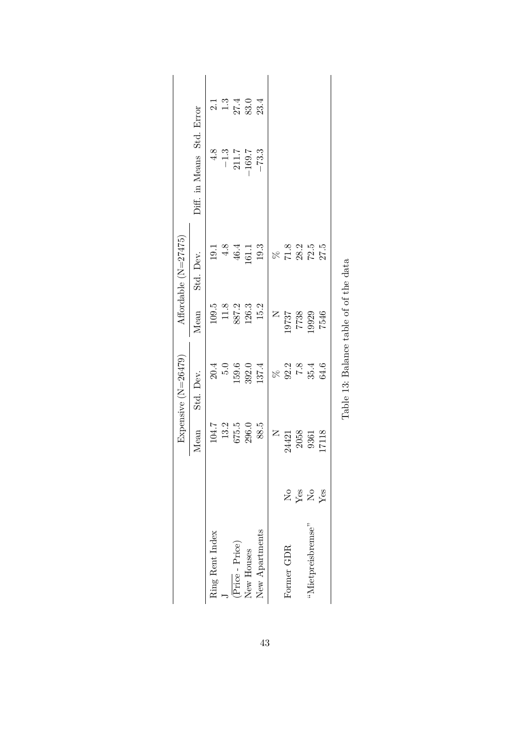|                                                  |                                                                      |                  | Expensive (N=26479)                                 |                                  | Affordable (N=27475)                  |                                          |                                           |
|--------------------------------------------------|----------------------------------------------------------------------|------------------|-----------------------------------------------------|----------------------------------|---------------------------------------|------------------------------------------|-------------------------------------------|
|                                                  |                                                                      | Mean             | Std. Dev.                                           | Mean                             | Std. Dev.                             | Diff. in Means Std. Error                |                                           |
| Ring Rent Index                                  |                                                                      | 104.7            | 20.4                                                | $109.5\,$                        | 19.1                                  |                                          |                                           |
|                                                  |                                                                      | $13.2\,$         | $5.0\,$                                             | $11.8$                           | $4.8$                                 |                                          |                                           |
| $(\overline{\mathrm{Price}}$ - $\mathrm{Price})$ |                                                                      | $675.5$<br>296.0 | 159.6                                               | 887.2                            | 46.4                                  | $4.8$<br>-1.3<br>-1.7<br>211.7<br>-169.7 | $213$<br>$134$<br>$213$<br>$234$<br>$234$ |
| New Houses                                       |                                                                      |                  | 392.0                                               | 126.3                            | 161.1                                 |                                          |                                           |
| New Apartments                                   |                                                                      | 88.5             | 137.4                                               | 15.2                             | $19.3\,$                              | $-73.3$                                  |                                           |
|                                                  |                                                                      | $\mathsf{z}$     |                                                     |                                  |                                       |                                          |                                           |
| Former GDR                                       |                                                                      | 24421            | $% 3.2$<br>$% 3.2$<br>$% 4.6$<br>$% 5.4$<br>$% 6.4$ | $\frac{\text{N}}{\text{N}}$ 5797 | $87.8$<br>$78.25$<br>$75.5$<br>$75.5$ |                                          |                                           |
|                                                  |                                                                      |                  |                                                     | 7738                             |                                       |                                          |                                           |
| "Mietpreisbremse"                                | <b>E</b><br><b>E</b><br><b>E</b><br><b>E</b><br><b>E</b><br><b>E</b> | 2058<br>9361     |                                                     | 19929                            |                                       |                                          |                                           |
|                                                  |                                                                      | 17118            |                                                     | 7546                             |                                       |                                          |                                           |

| ×<br>I<br>۰,<br>× |
|-------------------|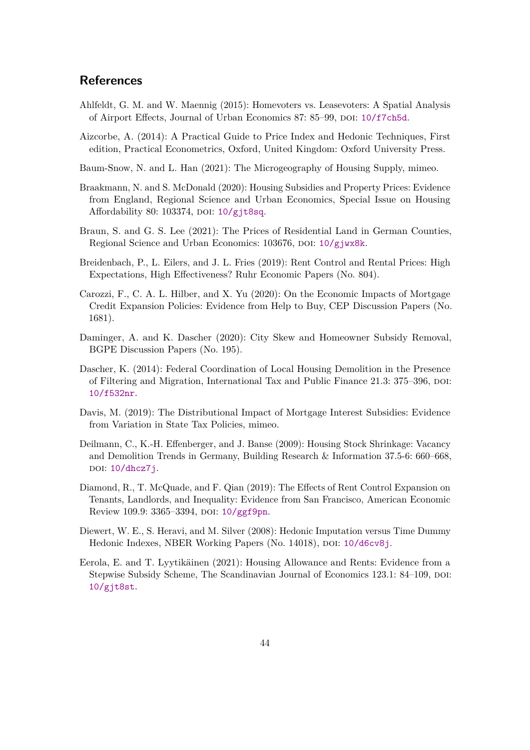### **References**

- <span id="page-44-1"></span>Ahlfeldt, G. M. and W. Maennig (2015): Homevoters vs. Leasevoters: A Spatial Analysis of Airport Effects, Journal of Urban Economics 87: 85–99, DOI: [10/f7ch5d](https://doi.org/10/f7ch5d).
- <span id="page-44-13"></span>Aizcorbe, A. (2014): A Practical Guide to Price Index and Hedonic Techniques, First edition, Practical Econometrics, Oxford, United Kingdom: Oxford University Press.
- <span id="page-44-2"></span>Baum-Snow, N. and L. Han (2021): The Microgeography of Housing Supply, mimeo.
- <span id="page-44-6"></span>Braakmann, N. and S. McDonald (2020): Housing Subsidies and Property Prices: Evidence from England, Regional Science and Urban Economics, Special Issue on Housing Affordability 80: 103374, DOI:  $10/g$ jt8sq.
- <span id="page-44-10"></span>Braun, S. and G. S. Lee (2021): The Prices of Residential Land in German Counties, Regional Science and Urban Economics: 103676, DOI: [10/gjwx8k](https://doi.org/10/gjwx8k).
- <span id="page-44-9"></span>Breidenbach, P., L. Eilers, and J. L. Fries (2019): Rent Control and Rental Prices: High Expectations, High Effectiveness? Ruhr Economic Papers (No. 804).
- <span id="page-44-4"></span>Carozzi, F., C. A. L. Hilber, and X. Yu (2020): On the Economic Impacts of Mortgage Credit Expansion Policies: Evidence from Help to Buy, CEP Discussion Papers (No. 1681).
- <span id="page-44-0"></span>Daminger, A. and K. Dascher (2020): City Skew and Homeowner Subsidy Removal, BGPE Discussion Papers (No. 195).
- <span id="page-44-11"></span>Dascher, K. (2014): Federal Coordination of Local Housing Demolition in the Presence of Filtering and Migration, International Tax and Public Finance 21.3: 375–396, doi: [10/f532nr](https://doi.org/10/f532nr).
- <span id="page-44-3"></span>Davis, M. (2019): The Distributional Impact of Mortgage Interest Subsidies: Evidence from Variation in State Tax Policies, mimeo.
- <span id="page-44-12"></span>Deilmann, C., K.-H. Effenberger, and J. Banse (2009): Housing Stock Shrinkage: Vacancy and Demolition Trends in Germany, Building Research & Information 37.5-6: 660–668, doi: [10/dhcz7j](https://doi.org/10/dhcz7j).
- <span id="page-44-8"></span>Diamond, R., T. McQuade, and F. Qian (2019): The Effects of Rent Control Expansion on Tenants, Landlords, and Inequality: Evidence from San Francisco, American Economic Review 109.9: 3365-3394, DOI: [10/ggf9pn](https://doi.org/10/ggf9pn).
- <span id="page-44-7"></span>Diewert, W. E., S. Heravi, and M. Silver (2008): Hedonic Imputation versus Time Dummy Hedonic Indexes, NBER Working Papers (No. 14018), DOI: [10/d6cv8j](https://doi.org/10/d6cv8j).
- <span id="page-44-5"></span>Eerola, E. and T. Lyytikäinen (2021): Housing Allowance and Rents: Evidence from a Stepwise Subsidy Scheme, The Scandinavian Journal of Economics 123.1: 84–109, poi: [10/gjt8st](https://doi.org/10/gjt8st).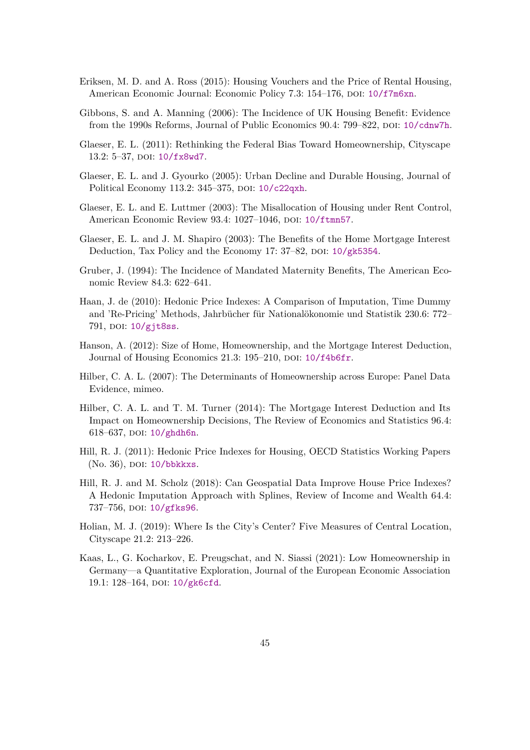- <span id="page-45-4"></span>Eriksen, M. D. and A. Ross (2015): Housing Vouchers and the Price of Rental Housing, American Economic Journal: Economic Policy 7.3: 154–176, DOI: [10/f7m6xn](https://doi.org/10/f7m6xn).
- <span id="page-45-3"></span>Gibbons, S. and A. Manning (2006): The Incidence of UK Housing Benefit: Evidence from the 1990s Reforms, Journal of Public Economics 90.4: 799–822, poi: [10/cdnw7h](https://doi.org/10/cdnw7h).
- <span id="page-45-5"></span>Glaeser, E. L. (2011): Rethinking the Federal Bias Toward Homeownership, Cityscape 13.2: 5-37, DOI: [10/fx8wd7](https://doi.org/10/fx8wd7).
- <span id="page-45-1"></span>Glaeser, E. L. and J. Gyourko (2005): Urban Decline and Durable Housing, Journal of Political Economy 113.2: 345-375, DOI: [10/c22qxh](https://doi.org/10/c22qxh).
- <span id="page-45-10"></span>Glaeser, E. L. and E. Luttmer (2003): The Misallocation of Housing under Rent Control, American Economic Review 93.4: 1027-1046, DOI: [10/ftmn57](https://doi.org/10/ftmn57).
- <span id="page-45-12"></span>Glaeser, E. L. and J. M. Shapiro (2003): The Benefits of the Home Mortgage Interest Deduction, Tax Policy and the Economy 17: 37–82, DOI: [10/gk5354](https://doi.org/10/gk5354).
- <span id="page-45-9"></span>Gruber, J. (1994): The Incidence of Mandated Maternity Benefits, The American Economic Review 84.3: 622–641.
- <span id="page-45-8"></span>Haan, J. de (2010): Hedonic Price Indexes: A Comparison of Imputation, Time Dummy and 'Re-Pricing' Methods, Jahrbücher für Nationalökonomie und Statistik 230.6: 772– 791, DOI: [10/gjt8ss](https://doi.org/10/gjt8ss).
- <span id="page-45-13"></span>Hanson, A. (2012): Size of Home, Homeownership, and the Mortgage Interest Deduction, Journal of Housing Economics 21.3: 195-210, DOI: [10/f4b6fr](https://doi.org/10/f4b6fr).
- <span id="page-45-0"></span>Hilber, C. A. L. (2007): The Determinants of Homeownership across Europe: Panel Data Evidence, mimeo.
- <span id="page-45-2"></span>Hilber, C. A. L. and T. M. Turner (2014): The Mortgage Interest Deduction and Its Impact on Homeownership Decisions, The Review of Economics and Statistics 96.4: 618–637, DOI: [10/ghdh6n](https://doi.org/10/ghdh6n).
- <span id="page-45-7"></span>Hill, R. J. (2011): Hedonic Price Indexes for Housing, OECD Statistics Working Papers (No. 36), DOI: [10/bbkkxs](https://doi.org/10/bbkkxs).
- <span id="page-45-14"></span>Hill, R. J. and M. Scholz (2018): Can Geospatial Data Improve House Price Indexes? A Hedonic Imputation Approach with Splines, Review of Income and Wealth 64.4: 737-756, DOI: [10/gfks96](https://doi.org/10/gfks96).
- <span id="page-45-6"></span>Holian, M. J. (2019): Where Is the City's Center? Five Measures of Central Location, Cityscape 21.2: 213–226.
- <span id="page-45-11"></span>Kaas, L., G. Kocharkov, E. Preugschat, and N. Siassi (2021): Low Homeownership in Germany—a Quantitative Exploration, Journal of the European Economic Association 19.1: 128-164, DOI: [10/gk6cfd](https://doi.org/10/gk6cfd).